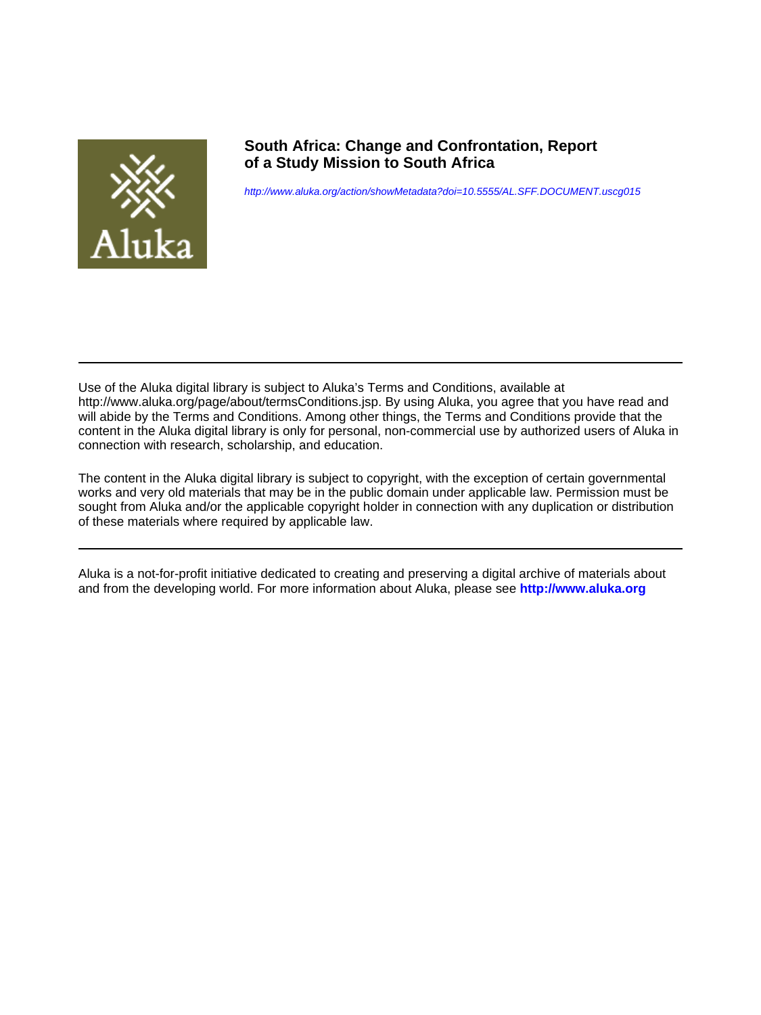

**South Africa: Change and Confrontation, Report of a Study Mission to South Africa**

<http://www.aluka.org/action/showMetadata?doi=10.5555/AL.SFF.DOCUMENT.uscg015>

Use of the Aluka digital library is subject to Aluka's Terms and Conditions, available at http://www.aluka.org/page/about/termsConditions.jsp. By using Aluka, you agree that you have read and will abide by the Terms and Conditions. Among other things, the Terms and Conditions provide that the content in the Aluka digital library is only for personal, non-commercial use by authorized users of Aluka in connection with research, scholarship, and education.

The content in the Aluka digital library is subject to copyright, with the exception of certain governmental works and very old materials that may be in the public domain under applicable law. Permission must be sought from Aluka and/or the applicable copyright holder in connection with any duplication or distribution of these materials where required by applicable law.

Aluka is a not-for-profit initiative dedicated to creating and preserving a digital archive of materials about and from the developing world. For more information about Aluka, please see **<http://www.aluka.org>**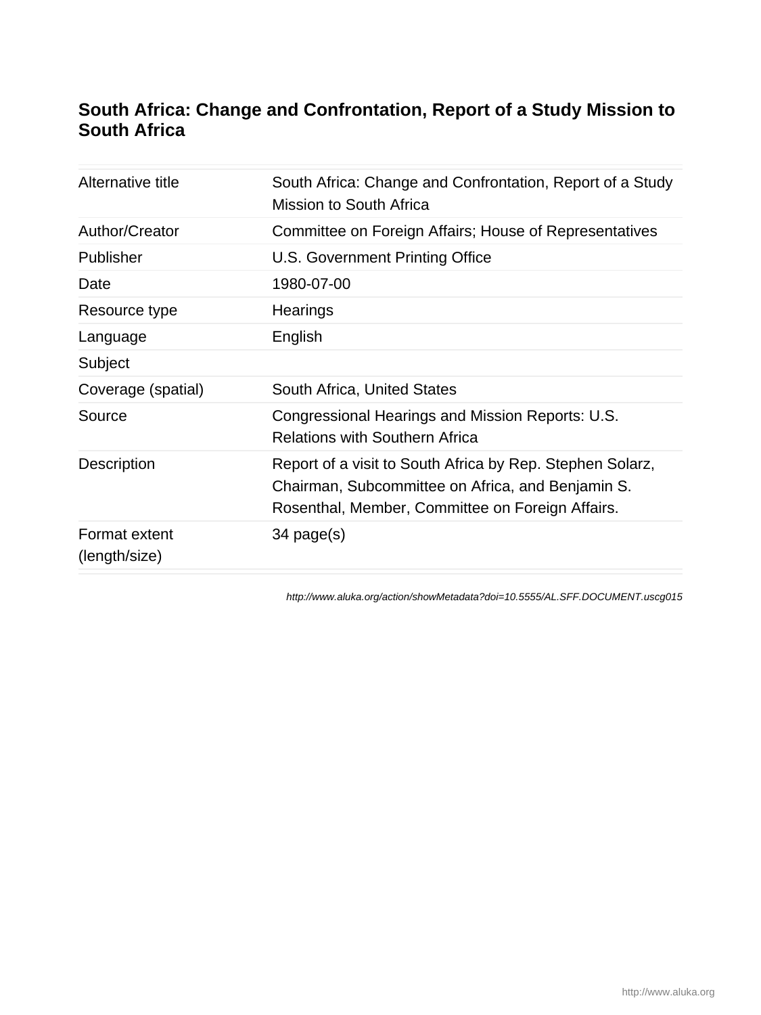# **South Africa: Change and Confrontation, Report of a Study Mission to South Africa**

| Alternative title              | South Africa: Change and Confrontation, Report of a Study<br>Mission to South Africa                                                                               |
|--------------------------------|--------------------------------------------------------------------------------------------------------------------------------------------------------------------|
| Author/Creator                 | Committee on Foreign Affairs; House of Representatives                                                                                                             |
| Publisher                      | U.S. Government Printing Office                                                                                                                                    |
| Date                           | 1980-07-00                                                                                                                                                         |
| Resource type                  | Hearings                                                                                                                                                           |
| Language                       | English                                                                                                                                                            |
| Subject                        |                                                                                                                                                                    |
| Coverage (spatial)             | South Africa, United States                                                                                                                                        |
| Source                         | Congressional Hearings and Mission Reports: U.S.<br><b>Relations with Southern Africa</b>                                                                          |
| <b>Description</b>             | Report of a visit to South Africa by Rep. Stephen Solarz,<br>Chairman, Subcommittee on Africa, and Benjamin S.<br>Rosenthal, Member, Committee on Foreign Affairs. |
| Format extent<br>(length/size) | 34 page(s)                                                                                                                                                         |

<http://www.aluka.org/action/showMetadata?doi=10.5555/AL.SFF.DOCUMENT.uscg015>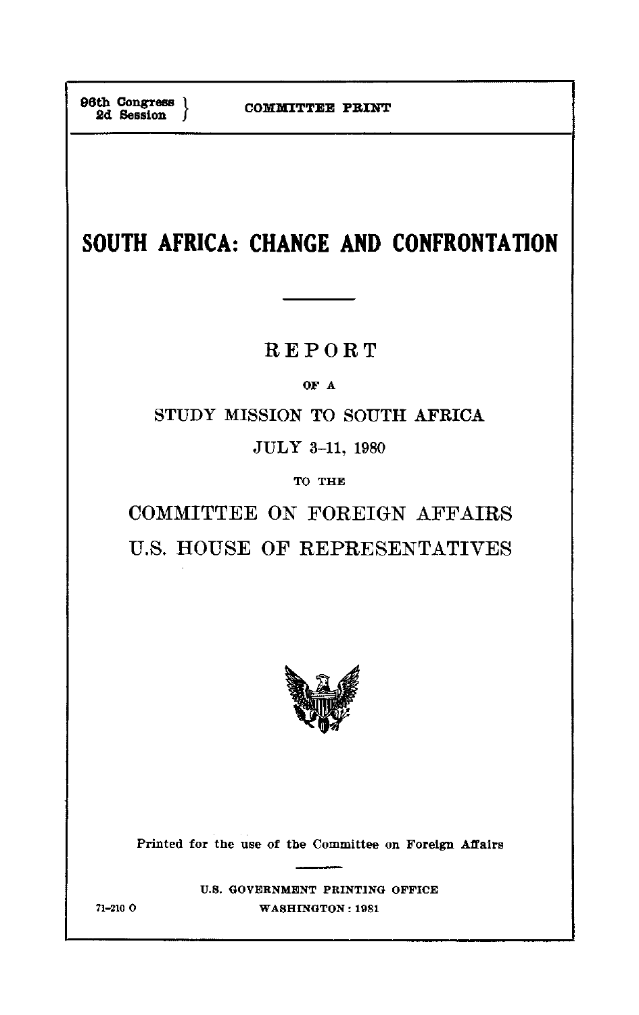**SOUTH AFRICA: CHANGE AND CONFRONTATION** 

# REPORT

OF **A** 

STUDY MISSION TO SOUTH AFRICA

**JULY 3-11,** 1980

TO THE

COMMITTEE ON FOREIGN AFFAIRS U.S. HOUSE OF REPRESENTATIVES



Printed for the use of the Committee on Foreign Affairs

**U.S. GOVERNMENT** PRINTING OFFICE **71-210 0 WASHINGTON: 1981**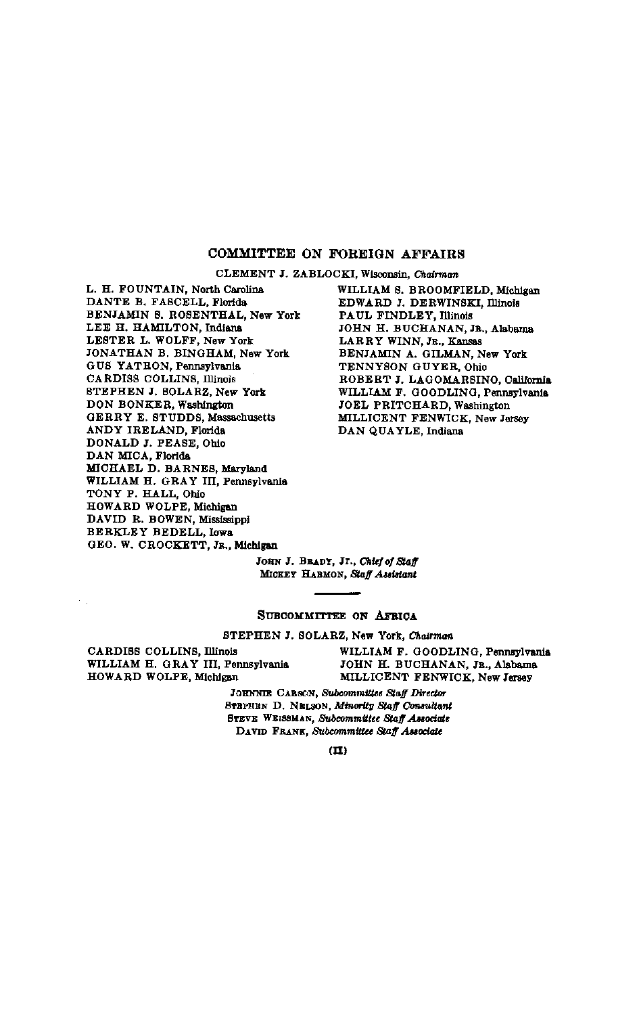#### COMMITTEE **ON** FOREIGN AFFAIRS

**CLEMENT J.** ZABLOCKI, Wisconsin, Chairman

L. H. **FOUNTAIN,** North Carolina **DANTE** B. **FASCELL,** Florida BENJAMIN **S.** ROSENTHAL, New York **LEE** H. **HAMILTON,** Indiana LESTER L. WOLFF, New York **JONATHAN** B. BINGHAM, New York **GUS** YATRON, Pennsylvania CARDISS COLLINS, Illinois **STEPHEN J.** SOLARZ, New York **DON** BONKER, Washington GERRY **E. STUDDS,** Massachusetts **ANDY** IRELAND, Florida **DONALD J. PEASE,** Ohio **DAN** MICA, Florida **MICHAEL D. BARNES,** Maryland WILLIAM H. GRAY III, Pennsylvania TONY P. HALL, Ohio HOWARD WOLPE, Michigan DAVID R. BOWEN, Mississippi BERKLEY BEDELL, Iowa **GEO.** W. CROCKETT, **JR.,** Michigan

WILLIAM **S.** BROOMFIELD, Michigan EDWARD **J.** DERWINSKI, Illinois **PAUL** FINDLEY, Illinois **JOHN** H. **BUCHANAN, JR.,** Alabama LARRY WINN, JR., Kansas BENJAMIN **A.** GILMAN, New York **TENNYSON** GUYER, Ohio ROBERT **J.** LAGOMARSINO, California WILLIAM F. **GOODLING,** Pennsylvania JOEL PRITCHARD, Washington MILLICENT FENWICK, New Jersey **DAN QUAYLE,** Indiana

**JoHN J.** BRADY, Jr., *Chiefofsaff*  **MCKEY HARMON,** *S¢affAubtant*

#### **SUBCOMMITTEE ON AFRICA**

**STEPHEN J.** SOLARZ, New York, *Chairman* 

WILLIAM H. GRAY III, Pennsylvania **JOHN** H. **BUCHANAN, JR.,** Alabama HOWARD WOLPE, Michigan MILLICENT FENWICK, New Jersey

 $\leq$ 

CARDISS COLLINS, Illinois WILLIAM F. GOODLING, Pennsylvania

**JOHNIE CARBON,** *Subcommittee Staff Director*  **STEPHEN D. NELSON,** *Minority Staff Consultant*  **STEVE WEISMAN,** *Subcommittee Staff Associate*  **DAviD FRANK,** *Subcommittee Staff Asnociate*

 $(\mathbf{\Pi})$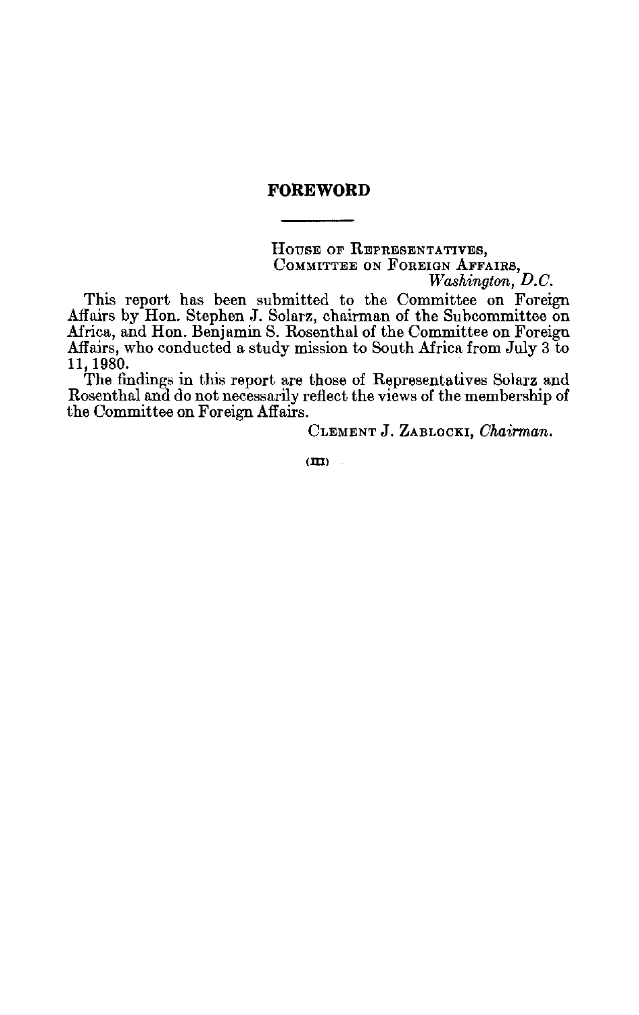# **FOREWORD**

**HousE OF REPRESENTATIVES, COMMITTEE ON FOREIGN AFFAIRS,**  *Wa8hington, D.C.* 

This report has been submitted to the Committee on Foreign Affairs by Hon. Stephen J. Solarz, chairman of the Subcommittee on Africa, and Hon. Benjamin S. Rosenthal of the Committee on Foreign Affairs, who conducted a study mission to South Africa from July 3 to 11, 1980.

The findings in this report are those of Representatives Solarz and Rosenthal and do not necessarily reflect the views of the membership of the Committee on Foreign Affairs.

**CLEMENT J. ZABLOCKI,** *Chairman.* 

**(M-I)**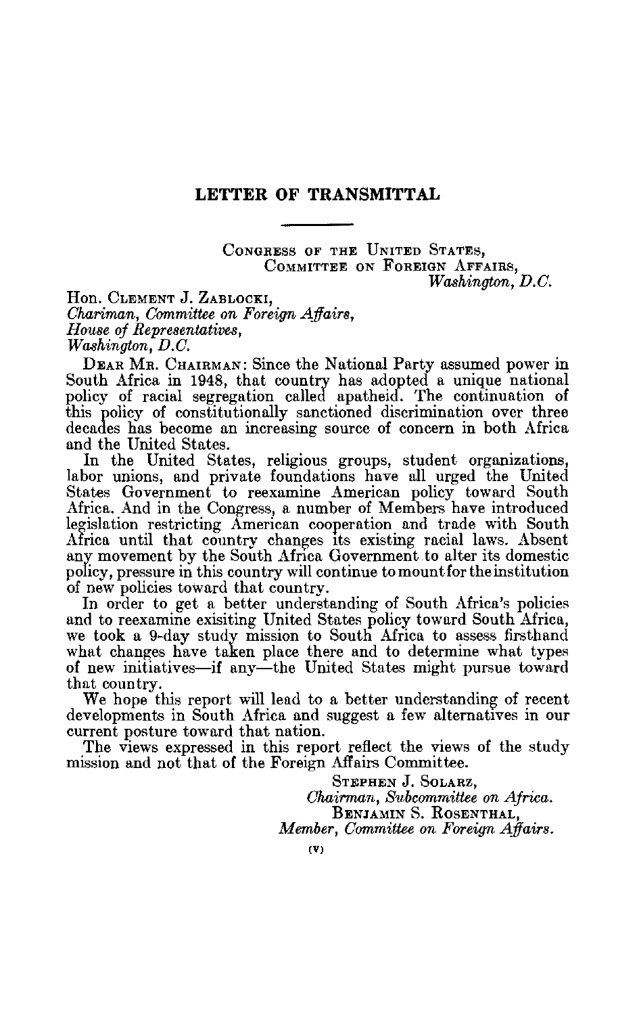## **LETTER OF TRANSMITTAL**

CONGRESS OF THE **UNITED STATES,**  COMMITTEE **ON FOREIGN AFFAIRS,** *Washington, D.C.* 

Hon. CLEMENT **J.** ZABLOCKI, *Chariman, Committee on Foreign Affairs, House of Representatives, Washington, D.C.* 

DEAR MR. CHAIRMAN: Since the National Party assumed power in South Africa in 1948, that country has adopted a unique national policy of racial segregation called apatheid. The continuation of this policy of constitutionally sanctioned discrimination over three decades has become an increasing source of concern in both Africa and the United States.

In the United States, religious groups, student organizations, labor unions, and private foundations have all urged the United States Government to reexamine American policy toward South Africa. And in the Congress, a number of Members have introduced legislation restricting American cooperation and trade with South Africa until that country changes its existing racial laws. Absent any movement by the South Africa Government to alter its domestic policy, pressure in this country will continue to mount for the institution of new policies toward that country.

In order to get a better understanding of South Africa's policies and to reexamine exisiting United States policy toward South Africa, we took a 9-day study mission to South Africa to assess firsthand what changes have taken place there and to determine what types of new initiatives-if any-the United States might pursue toward that country.

We hope this report will lead to a better understanding of recent developments in South Africa and suggest a few alternatives in our current posture toward that nation.

The views expressed in this report reflect the views of the study mission and not that of the Foreign Affairs Committee.

> **STEPHEN J. SOLARZ,**  *Chairman, Subcommittee on Africa.*  BENJAMIN S. ROSENTHAL, *Member, Committee on Foreign Affairs.*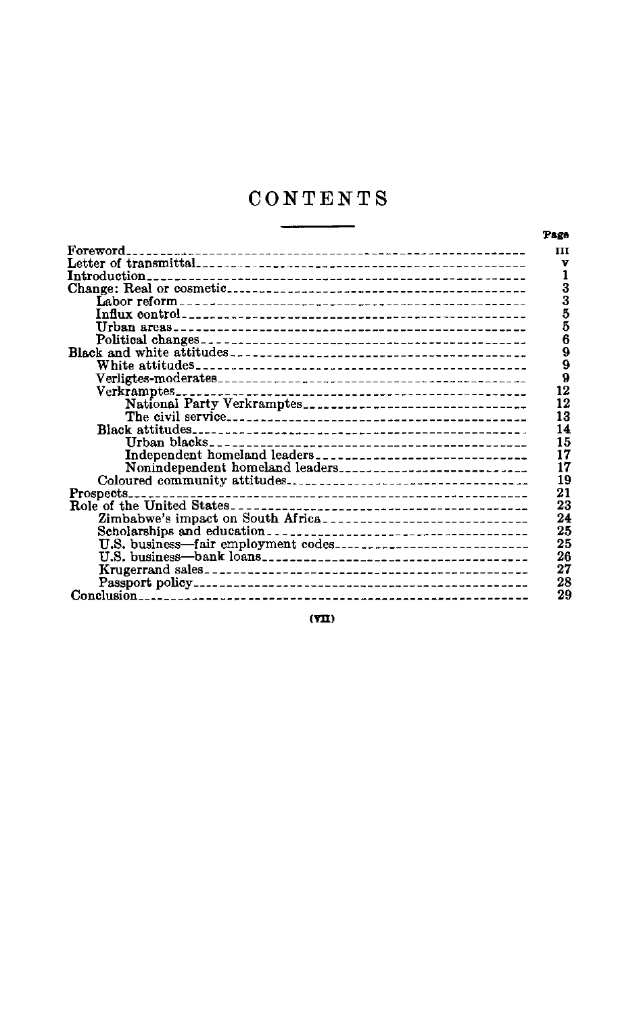# **CONTENTS**

L

|                                                    | Page       |
|----------------------------------------------------|------------|
| Foreword.<br>------------------------------------- | <b>III</b> |
|                                                    | v          |
| Introduction.                                      |            |
|                                                    | 3          |
|                                                    | 3          |
|                                                    | 5<br>5     |
|                                                    |            |
|                                                    | 6          |
|                                                    | 9          |
|                                                    | 9          |
|                                                    | 9          |
| $Verkramptes$ -----                                | 12         |
| National Party Verkramptes                         | 12         |
|                                                    | 13         |
|                                                    | 14         |
|                                                    | 15         |
| Independent homeland leaders                       | 17         |
| Nonindependent homeland leaders                    | 17         |
|                                                    | 19         |
| Prospects.                                         | 21         |
|                                                    | 23         |
| Zimbabwe's impact on South Africa                  | 24         |
|                                                    | 25         |
|                                                    | 25         |
|                                                    | 26         |
|                                                    | 27         |
|                                                    | 28         |
| Conclusion                                         | 29         |

**(vin)**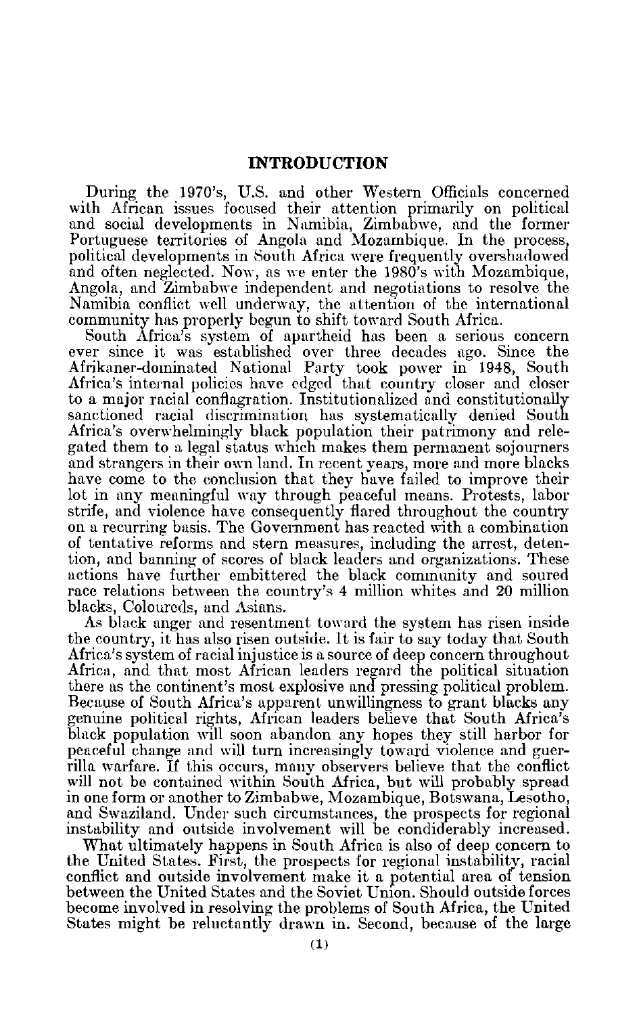## **INTRODUCTION**

During the 1970's, U.S. and other Western Officials concerned with African issues focused their attention primarily on political and social developments in Namibia, Zimbabwe, and the former Portuguese territories of Angola and Mozambique. In the process, political developments in South Africa were frequently overshadowed and often neglected. Now, as we enter the 1980's with Mozambique, Angola, and Zimbabwe independent and negotiations to resolve the Namibia conflict well underway, the attention of the international community has properly begun to shift toward South Africa.

South Africa's system of apartheid has been a serious concern ever since it was established over three decades ago. Since the Afrikaner-dominated National Party took power in 1948, South Africa's internal policies have edged that country closer and closer to a major racial conflagration. Institutionalized and constitutionally sanctioned racial discrimination has systematically denied South Africa's overwhelmingly black population their patrimony and rele gated them to a legal status which makes them permanent sojourners and strangers in their own land. In recent years, more and more blacks have come to the conclusion that they have failed to improve their lot in any meaningful way through peaceful means. Protests, labor strife, and violence have consequently flared throughout the country on a recurring basis. The Government has reacted with a combination of tentative reforms and stern measures, including the arrest, deten tion, and banning of scores of black leaders and organizations. These actions have further embittered the black community and soured race relations between the country's 4 million whites and 20 million blacks, Coloureds, and Asians.

As black anger and resentment toward the system has risen inside the country, it has also risen outside. It is fair to say today that South Africa's system of racial injustice is a source of deep concern throughout Africa, and that most African leaders regard the political situation there as the continent's most explosive and pressing political problem. Because of South Africa's apparent unwillingness to grant blacks any genuine political rights, African leaders believe that South Africa's black population will soon abandon any hopes they still harbor for peaceful change and will turn increasingly toward violence and guer rilla warfare. If this occurs, many observers believe that the conflict will not be contained within South Africa, but will probably spread in one form or another to Zimbabwe, Mozambique, Botswana, Lesotho, and Swaziland. Under such circumstances, the prospects for regional instability and outside involvement will be condiderably increased.

What ultimately happens in South Africa is also of deep concern to the United States. First, the prospects for regional instability, racial conflict and outside involvement make it a potential area of tension between the United States and the Soviet Union. Should outside forces become involved in resolving the problems of South Africa, the United States might be reluctantly drawn in. Second, because of the large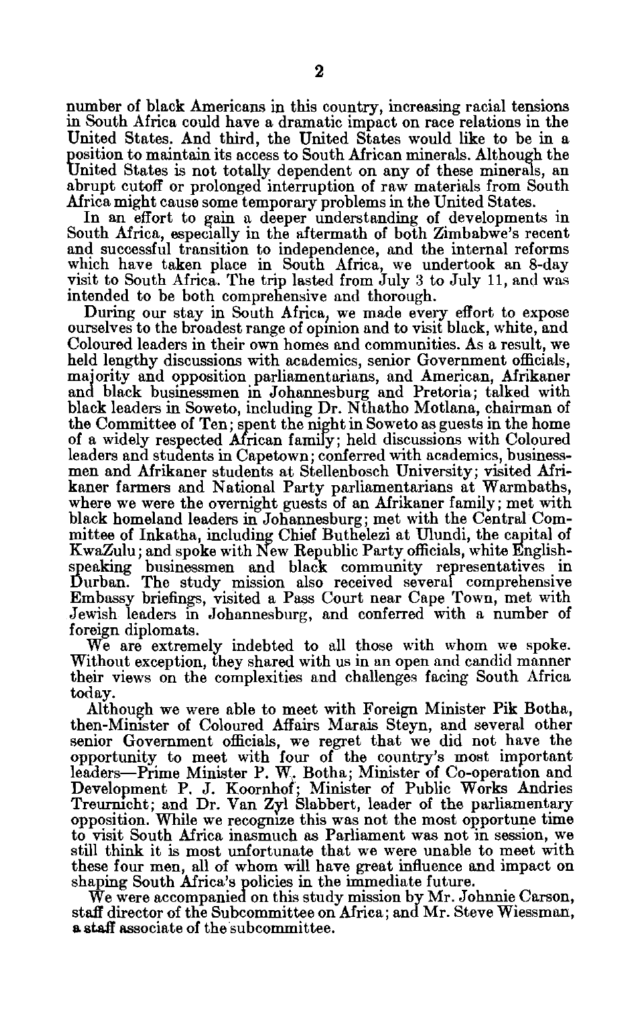number of black Americans in this country, increasing racial tensions in South Africa could have a dramatic impact on race relations in the United States. And third, the United States would like to be in a position to maintain its access to South African minerals. Although the United States is not totally dependent on any of these minerals, an abrupt cutoff or prolonged interruption of raw materials from South Africa might cause some temporary problems in the United States.

In an effort to gain a deeper understanding of developments in South Africa, especially in the aftermath of both Zimbabwe's recent and successful transition to independence, and the internal reforms which have taken place in South Africa, we undertook an 8-day visit to South Africa. The trip lasted from July 3 to July 11, and was intended to be both comprehensive and thorough.

During our stay in South Africa, we made every effort to expose ourselves to the broadest range of opinion and to visit black, white, and Coloured leaders in their own homes and communities. As a result, we held lengthy discussions with academics, senior Government officials, majority and opposition parliamentarians, and American, Afrikaner and black businessmen in Johannesburg and Pretoria; talked with black leaders in Soweto, including Dr. Nthatho Motlana, chairman of the Committee of Ten; spent the night in Soweto as guests in the home of a widely respected African family; held discussions with Coloured leaders and students in Capetown; conferred with academics, business men and Afrikaner students at Stellenbosch University; visited Afri kaner farmers and National Party parliamentarians at Warmbaths, where we were the overnight guests of an Afrikaner family; met with black homeland leaders in Johannesburg; met with the Central Com mittee of Inkatha, including Chief Buthelezi at Ulundi, the capital of KwaZulu; and spoke with New Republic Party officials, white English speaking businessmen and black community representatives in Durban. The study mission also received several comprehensive Embassy briefings, visited a Pass Court near Cape Town, met with Jewish leaders in Johannesburg, and conferred with a number of foreign diplomats.

We are extremely indebted to all those with whom we spoke. Without exception, they shared with us in an open and candid manner their views on the complexities and challenges facing South Africa today.

Although we were able to meet with Foreign Minister Pik Botha, then-Minister of Coloured Affairs Marais Steyn, and several other senior Government officials, we regret that we did not have the opportunity to meet with four of the country's most important leaders-Prime Minister P. W,. Botha; Minister of Co-operation and Development P. J. Koornhof; Minister of Public Works Andries Treurnicht; and Dr. Van **Zyl** Slabbert, leader of the parliamentary opposition. While we recognize this was not the most opportune time to visit South Africa inasmuch as Parliament was not in session, we still think it is most unfortunate that we were unable to meet with these four men, all of whom will have great influence and impact on shaping South Africa's policies in the immediate future.

We were accompanied on this study mission by Mr. Johnnie Carson, staff director of the Subcommittee on Africa; and Mr. Steve Wiessman, **a** staff associate of the subcommittee.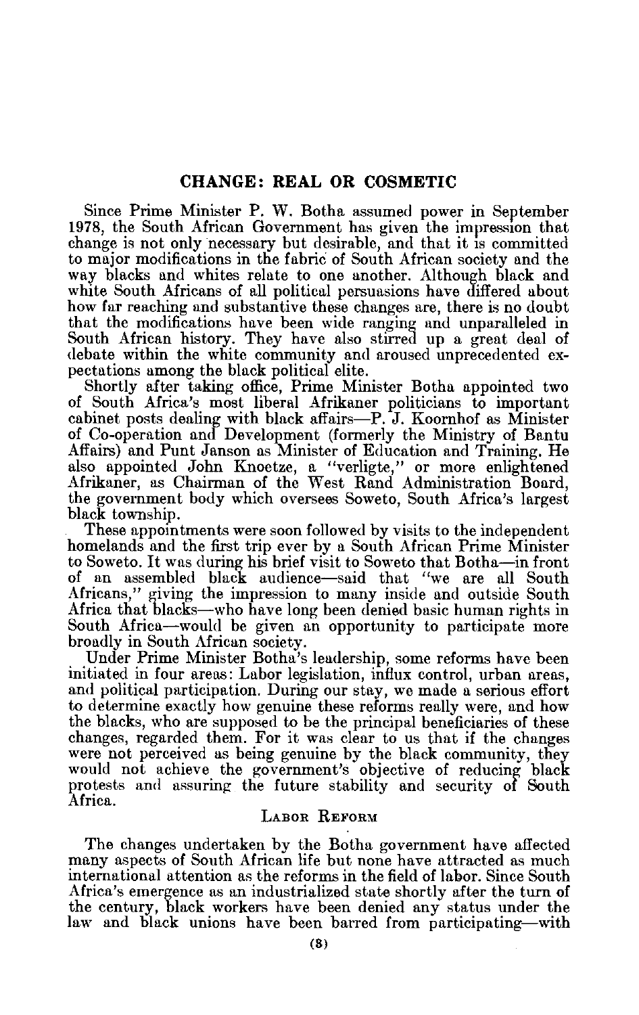## **CHANGE: REAL OR COSMETIC**

Since Prime Minister P. W. Botha assumed power in September 1978, the South African Government has given the impression that change is not only necessary but desirable, and that it is committed to major modifications in the fabric of South African society and the way blacks and whites relate to one another. Although black and white South Africans of all political persuasions have differed about how far reaching and substantive these changes are, there is no doubt that the modifications have been wide ranging and unparalleled in South African history. They have also stirred up a great deal of debate within the white community and aroused unprecedented ex pectations among the black political elite.

Shortly after taking office, Prime Minister Botha appointed two of South Africa's most liberal Afrikaner politicians to important cabinet posts dealing with black affairs-P. J. Koornhof as Minister of Co-operation and Development (formerly the Ministry of Bantu Affairs) and Punt Janson as Minister of Education and Training. He also appointed John Knoetze, a "verligte," or more enlightened Afrikaner, as Chairman of the West Rand Administration Board, the government body which oversees Soweto, South Africa's largest black township.

These appointments were soon followed by visits to the independent homelands and the first trip ever by a South African Prime Minister to Soweto. It was during his brief visit to Soweto that Botha-in front of an assembled black audience-said that "we are all South Africans," giving the impression to many inside and outside South Africa that blacks-who have long been denied basic human rights in South Africa-would be given an opportunity to participate more broadly in South African society.

Under Prime Minister Botha's leadership, some reforms have been initiated in four areas: Labor legislation, influx control, urban areas, and political participation. During our stay, we made a serious effort to determine exactly how genuine these reforms really were, and how the blacks, who are supposed to be the principal beneficiaries of these changes, regarded them. For it was clear to us that if the changes were not perceived as being genuine by the black community, they would not achieve the government's objective of reducing black protests and assuring the future stability and security of South Africa.

### LABOR **REFORM**

The changes undertaken by the Botha government have affected many aspects of South African life but none have attracted as much international attention as the reforms in the field of labor. Since South Africa's emergence as an industrialized state shortly after the turn of the century, black workers have been denied any status under the law and black unions have been barred from participating-with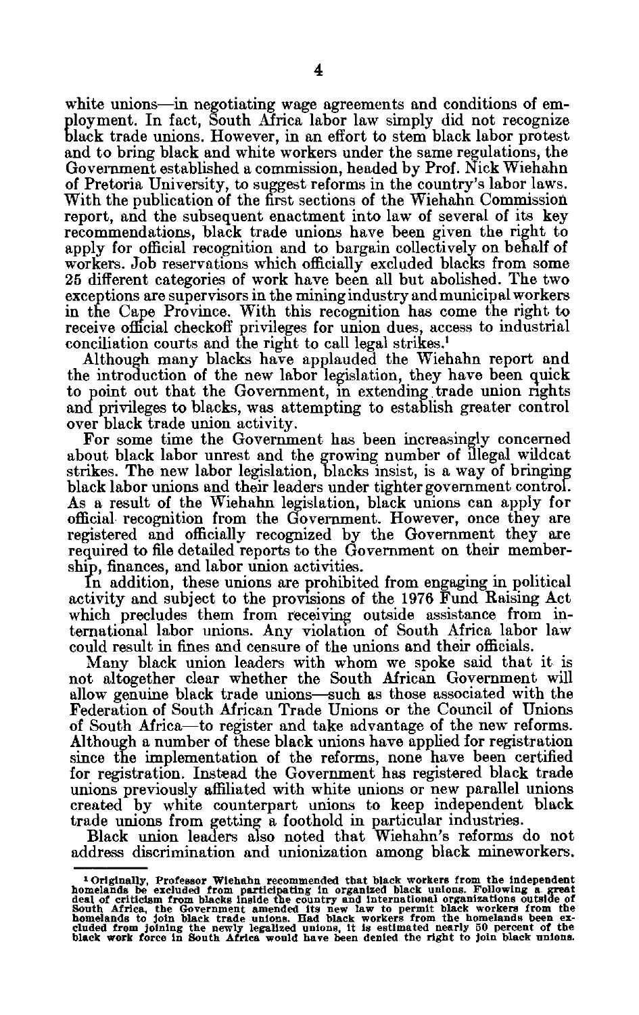white unions—in negotiating wage agreements and conditions of employment. In fact, South Africa labor law simply did not recognize black trade unions. However, in an effort to stem black labor protest and to bring black and white workers under the same regulations, the Government established a commission, headed by Prof. Nick Wiehahn of Pretoria University, to suggest reforms in the country's labor laws. With the publication of the first sections of the Wiehahn Commission report, and the subsequent enactment into law of several of its key recommendations, black trade unions have been given the right to apply for official recognition and to bargain collectively on behalf of workers. Job reservations which officially excluded blacks from some 25 different categories of work have been all but abolished. The two exceptions are supervisors in the mining industry and municipal workers in the Cape Province. With this recognition has come the right to receive official checkoff privileges for union dues, access to industrial conciliation courts and the right to call legal strikes.<sup>1</sup>

Although many blacks have applauded the Wiehahn report and the introduction of the new labor legislation, they have been quick to point out that the Government, in extending trade union rights and privileges to blacks, was attempting to establish greater control over black trade union activity.

For some time the Government has been increasingly concerned about black labor unrest and the growing number of illegal wildcat strikes. The new labor legislation, blacks insist, is a way of bringing black labor unions and their leaders under tighter government control. As a result of the Wiehahn legislation, black unions can apply for official recognition from the Government. However, once they are registered and officially recognized by the Government they are required to file detailed reports to the Government on their member ship, finances, and labor union activities.

In addition, these unions are prohibited from engaging in political activity and subject to the provisions of the 1976 Fund Raising Act which precludes them from receiving outside assistance from in ternational labor unions. Any violation of South Africa labor law could result in fines and censure of the unions and their officials.

Many black union leaders with whom we spoke said that it is not altogether clear whether the South African Government will allow genuine black trade unions--such as those associated with the Federation of South African Trade Unions or the Council of Unions of South Africa-to register and take advantage of the new reforms. Although a number of these black unions have applied for registration since the implementation of the reforms, none have been certified for registration. Instead the Government has registered black trade unions previously affiliated with white unions or new parallel unions created by white counterpart unions to keep independent black trade unions from getting a foothold in particular industries.

Black union leaders also noted that Wiehahn's reforms do not address discrimination and unionization among black mineworkers.

**I Originally, Professor wiehahn recommended that black workers from the independent**  bomelands be excluded from participating in organized black unlons. Following a great deal of criticism from blacks inside the country and international organizations outside of South Africa, the Government amended its new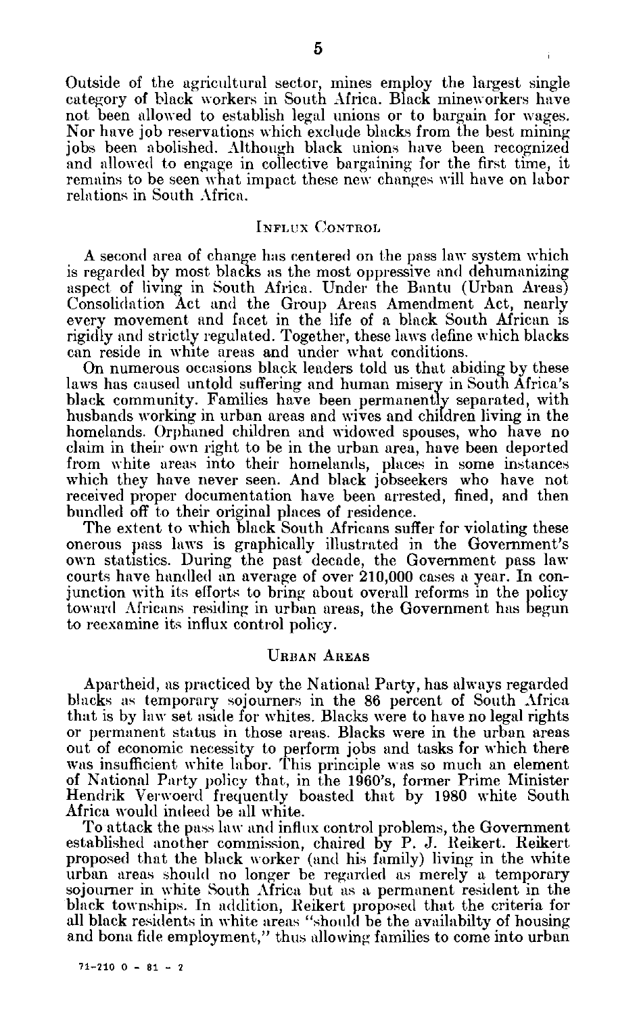Outside of the agricultural sector, mines employ the largest single category of black workers in South Africa. Black mineworkers have not been allowed to establish legal unions or to bargain for wages. Nor have job reservations which exclude blacks from the best mining jobs been abolished. Although black unions have been recognized and allowed to engage in collective bargaining for the first time, it remains to be seen what impact these new changes will have on labor relations in South Africa.

### **INFLUX** CONTROL

A second area of change has centered on the pass law system which is regarded **by** most blacks as the most oppressive and dehumanizing aspect of living in South Africa. Under the Bantu (Urban Areas) Consolidation Act and the Group Areas Amendment Act, nearly every movement and facet in the life of a black South African is rigidly and strictly regulated. Together, these laws define which blacks can reside in white areas and under what conditions.

On numerous occasions black leaders told us that abiding by these laws has caused untold suffering and human misery in South Africa's black community. Families have been permanently separated, with husbands working in urban areas and wives and children living in the homelands. Orphaned children and widowed spouses, who have no claim in their own right to be in the urban area, have been deported from white areas into their homelands, places in some instances which they have never seen. And black jobseekers who have not received proper documentation have been arrested, fined, and then bundled off to their original places of residence.

The extent to which black South Africans suffer for violating these onerous pass laws is graphically illustrated in the Government's own statistics. During the past decade, the Government pass law courts have handled an average of over 210,000 cases a year. In con junction with its efforts to bring about overall reforms in the policy toward Africans residing in urban areas, the Government has begun to reexamine its influx control policy.

## **URBAN** AREAS

Apartheid, as practiced by the National Party, has always regarded blacks as temporary sojourners in the 86 percent of South Africa that is by law set aside for whites. Blacks were to have no legal rights or permanent status in those areas. Blacks were in the urban areas out of economic necessity to perform jobs and tasks for which there was insufficient white labor. This principle was so much an element of National Party policy that, in the 1960's, former Prime Minister Hendrik Verwoerd frequently boasted that by 1980 white South Africa would indeed be all white.

To attack the pass law and influx control problems, the Government established another commission, chaired by P. J. Reikert. Reikert proposed that the black worker (and his family) living in the white urban areas should no longer be regarded as merely a temporary sojourner in white South Africa but as a permanent resident in the black townships. In addition, Reikert proposed that the criteria for all black residents in white areas "should be the availabilty of housing and bona fide employment," thus allowing families to come into urban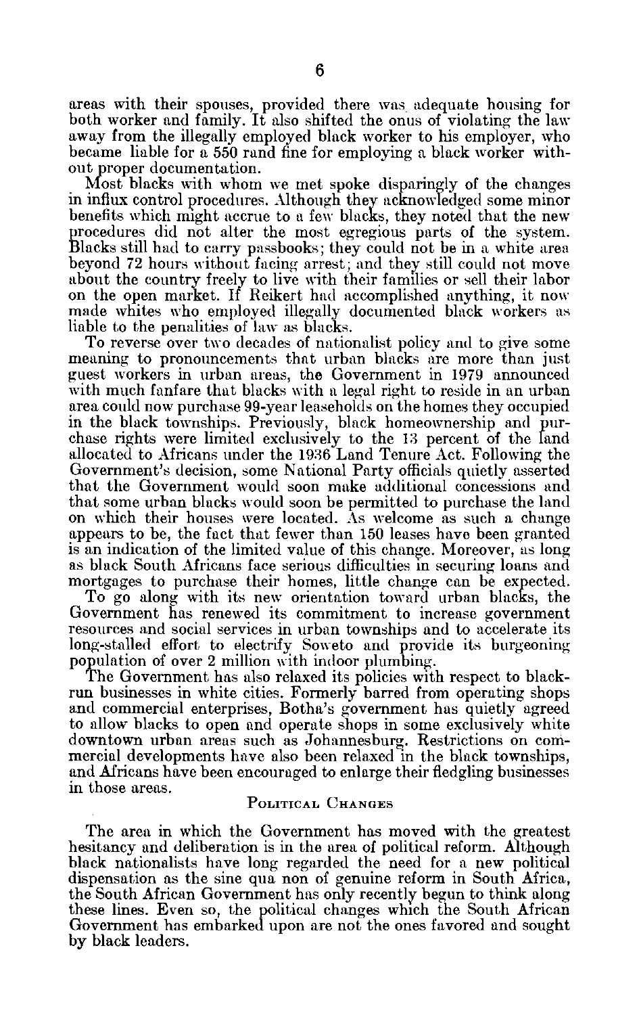areas with their spouses, provided there was adequate housing for both worker and family. It also shifted the onus of violating the law away from the illegally employed black worker to his employer, who became liable for a 550 rand fine for employing a black worker with out proper documentation.

Most blacks with whom we met spoke disparingly of the changes in influx control procedures. Although they acknowledged some minor benefits which might accrue to a few blacks, they noted that the new procedures did not alter the most egregious parts of the system. Blacks still had to carry passbooks; they could not be in a white area beyond 72 hours without facing arrest; and they still could not move about the country freely to live with their families or sell their labor on the open market. If Reikert had accomplished anything, it now made whites who employed illegally documented black workers as liable to the penalities of law as blacks.

To reverse over two decades of nationalist policy and to give some meaning to pronouncements that urban blacks are more than just guest workers in urban areas, the Government in 1979 announced with much fanfare that blacks with a legal right to reside in an urban area could now purchase 99-year leaseholds on the homes they occupied in the black townships. Previously, black homeownership and pur chase rights were limited exclusively to the 13 percent of the land allocated to Africans under the 1936 Land Tenure Act. Following the Government's decision, some National Party officials quietly asserted that the Government would soon make additional concessions and that some urban blacks would soon be permitted to purchase the land on which their houses were located. As welcome as such a change appears to be, the fact that fewer than 150 leases have been granted is an indication of the limited value of this change. Moreover, as long as black South Africans face serious difficulties in securing loans and mortgages to purchase their homes, little change can be expected.

To go along with its new orientation toward urban blacks, the Government has renewed its commitment to increase government resources and social services in urban townships and to accelerate its long-stalled effort to electrify Soweto and provide its burgeoning population of over 2 million with indoor plumbing.

The Government has also relaxed its policies with respect to black run businesses in white cities. Formerly barred from operating shops and commercial enterprises, Botha's government has quietly agreed to allow blacks to open and operate shops in some exclusively white downtown urban areas such as Johannesburg. Restrictions on com mercial developments have also been relaxed in the black townships, and Africans have been encouraged to enlarge their fledgling businesses in those areas.

### **POLITICAL CHANGES**

The area in which the Government has moved with the greatest hesitancy and deliberation is in the area of political reform. Although black nationalists have long regarded the need for a new political dispensation as the sine qua non of genuine reform in South Africa, the South African Government has only recently begun to think along these lines. Even so, the political changes which the South African Government has embarked upon are not the ones favored and sought by black leaders.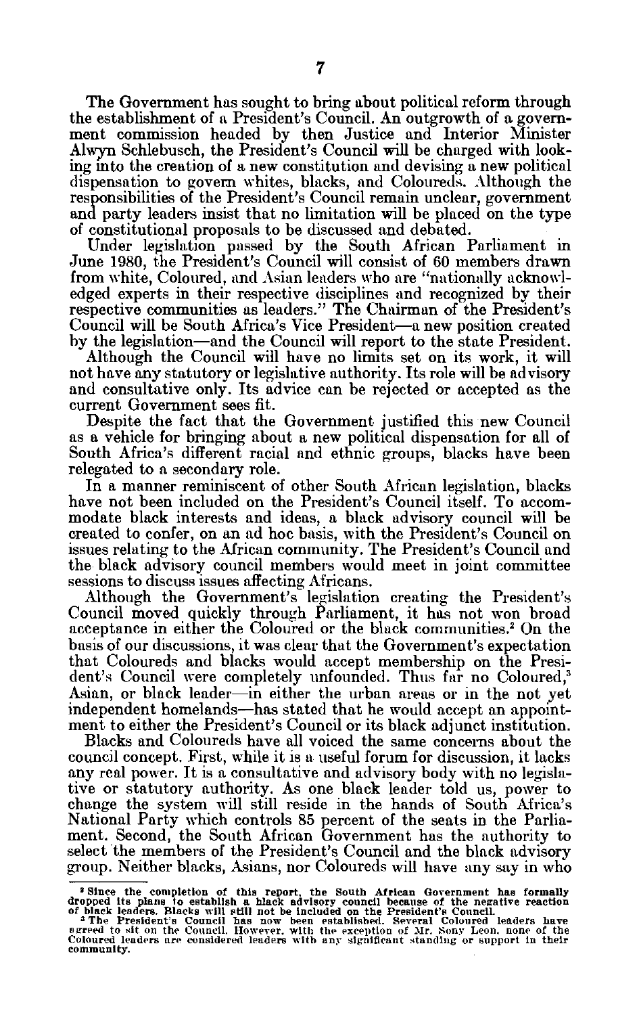The Government has sought to bring about political reform through the establishment of a President's Council. An outgrowth of a govern ment commission headed by then Justice and Interior Minister Alwyn Schlebusch, the President's Council will be charged with look ing into the creation of a new constitution and devising a new political dispensation to govern whites, blacks, and Coloureds. Although the responsibilities of the President's Council remain unclear, government and party leaders insist that no limitation will be placed on the type of constitutional proposals to be discussed and debated.

Under legislation passed by the South African Parliament in June 1980, the President's Council will consist of 60 members drawn from white, Coloured, and Asian leaders who are "nationally acknowl edged experts in their respective disciplines and recognized by their respective communities as leaders." The Chairman of the President's Council will be South Africa's Vice President-a new position created by the legislation-and the Council will report to the state President.

Although the Council will have no limits set on its work, it will not have any statutory or legislative authority. Its role will be advisory and consultative only. Its advice can be rejected or accepted as the current Government sees fit.

Despite the fact that the Government justified this new Council as a vehicle for bringing about a new political dispensation for all of South Africa's different racial and ethnic groups, blacks have been relegated to a secondary role.

In a manner reminiscent of other South African legislation, blacks have not been included on the President's Council itself. To accom modate black interests and ideas, a black advisory council will be created to confer, on an ad hoc basis, with the President's Council on issues relating to the African community. The President's Council and the black advisory council members would meet in joint committee sessions to discuss issues affecting Africans.

Although the Government's legislation creating the President's Council moved quickly through Parliament, it has not won broad acceptance in either the Coloured or the black communities.' On the basis of our discussions, it was clear that the Government's expectation that Coloureds and blacks would accept membership on the Presi dent's Council were completely unfounded. Thus far no Coloured,<sup>3</sup> Asian, or black leader—in either the urban areas or in the not yet independent homelands-has stated that he would accept an appoint ment to either the President's Council or its black adjunct institution.

Blacks and Coloureds have all voiced the same concerns about the council concept. First, while it is a useful forum for discussion, it lacks any real power. It is a consultative and advisory body with no legisla tive or statutory authority. As one black leader told us, power to change the system will still reside in the hands of South Africa's National Party which controls 85 percent of the seats in the Parlia ment. Second, the South African Government has the authority to select the members of the President's Council and the black advisory group. Neither blacks, Asians, nor Coloureds will have any say in who

<sup>&</sup>lt;sup>2</sup> Since the completion of this report, the South African Government has formally dropped its plans to establish a black advisory council because of the negative reaction of black leaders. Blacks will still not be includ

agreed **to sit** on **the Council. However. with** the **exception** of **Mr. Sony Leon. none of the**  Coloured leaders are considered leaders with any significant standing or support in their **community.**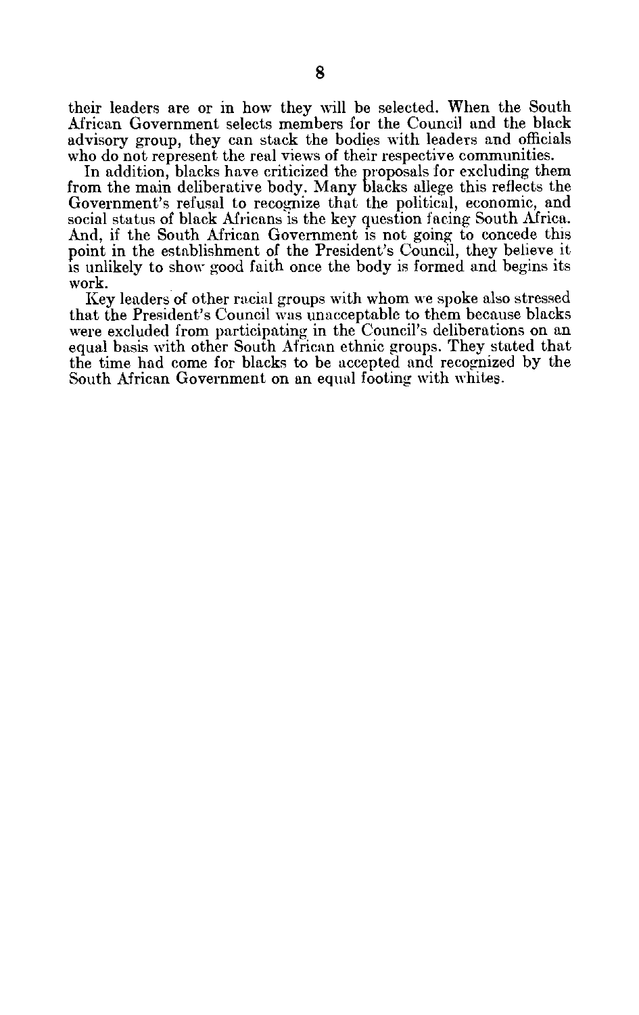their leaders are or in how they will be selected. When the South African Government selects members for the Council and the black advisory group, they can stack the bodies with leaders and officials who do not represent the real views of their respective communities.

In addition, blacks have criticized the proposals for excluding them from the main deliberative body. Many blacks allege this reflects the Government's refusal to recognize that the political, economic, and social status of black Africans is the key question facing South Africa. And, if the South African Government is not going to concede this point in the establishment of the President's Council, they believe it is unlikely to show good faith once the body is formed and begins its work.

Key leaders of other racial groups with whom we spoke also stressed that the President's Council was unacceptable to them because blacks were excluded from participating in the Council's deliberations on an equal basis with other South African ethnic groups. They stated that the time had come for blacks to be accepted and recognized by the South African Government on an equal footing with whites.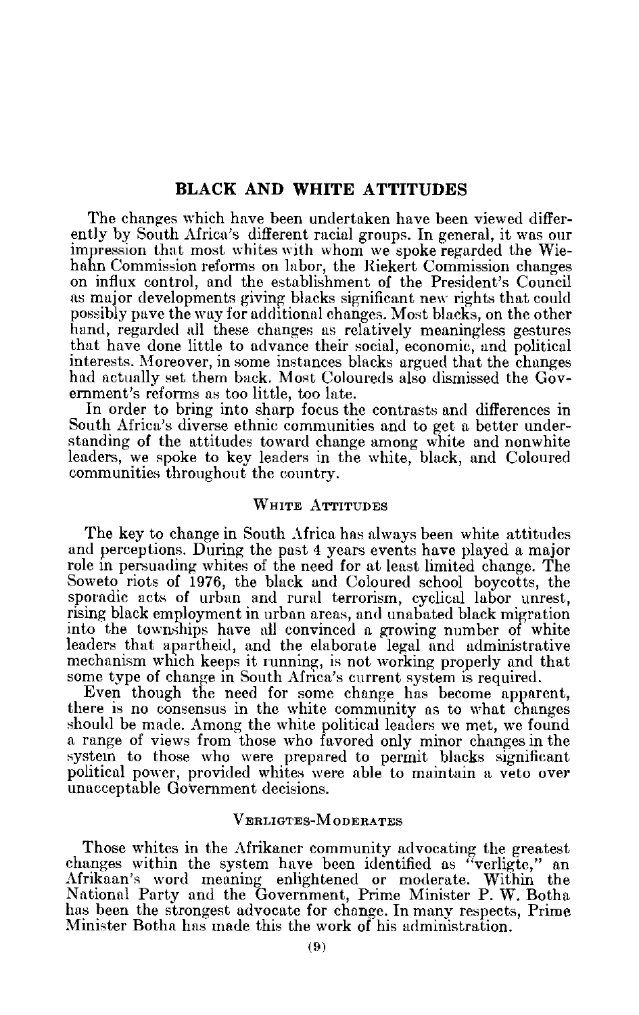## **BLACK AND WHITE ATTITUDES**

The changes which have been undertaken have been viewed differ ently by South Africa's different racial groups. In general, it was our impression that most whites with whom we spoke regarded the Wie hahn Commission reforms on labor, the Riekert Commission changes on influx control, and the establishment of the President's Council as major developments giving blacks significant new rights that could possibly pave the way for additional changes. Most blacks, on the other hand, regarded all these changes as relatively meaningless gestures that have done little to advance their social, economic, and political interests. Moreover, in some instances blacks argued that the changes had actually set them back. Most Coloureds also dismissed the Gov ernment's reforms as too little, too late.

In order to bring into sharp focus the contrasts and differences in South Africa's diverse ethnic communities and to get a better under standing of the attitudes toward change among white and nonwhite leaders, we spoke to key leaders in the white, black, and Coloured communities throughout the country.

## WHITE ATTITUDES

The key to change in South Africa has always been white attitudes and perceptions. During the past 4 years events have played a major role in persuading whites of the need for at least limited change. The Soweto riots of 1976, the black and Coloured school boycotts, the sporadic acts of urban and rural terrorism, cyclical labor unrest, rising black employment in urban areas, and unabated black migration into the townships have all convinced a growing number of white leaders that apartheid, and the elaborate legal and administrative mechanism which keeps it running, is not working properly and that some type of change in South Africa's current system is required.

Even though the need for some change has become apparent, there is no consensus in the white community as to what changes should be made. Among the white political leaders we met, we found a range of views from those who favored only minor changes in the system to those who were prepared to permit blacks significant political power, provided whites were able to maintain a veto over unacceptable Government decisions.

## VERLIGTES-M ODERATES

Those whites in the Afrikaner community advocating the greatest changes within the system have been identified as "verligte," an Afrikaan's word meaning enlightened or moderate. Within the National Party and the Government, Prime Minister P. W. Botha has been the strongest advocate for change. In many respects, Prime Minister Botha has made this the work of his administration.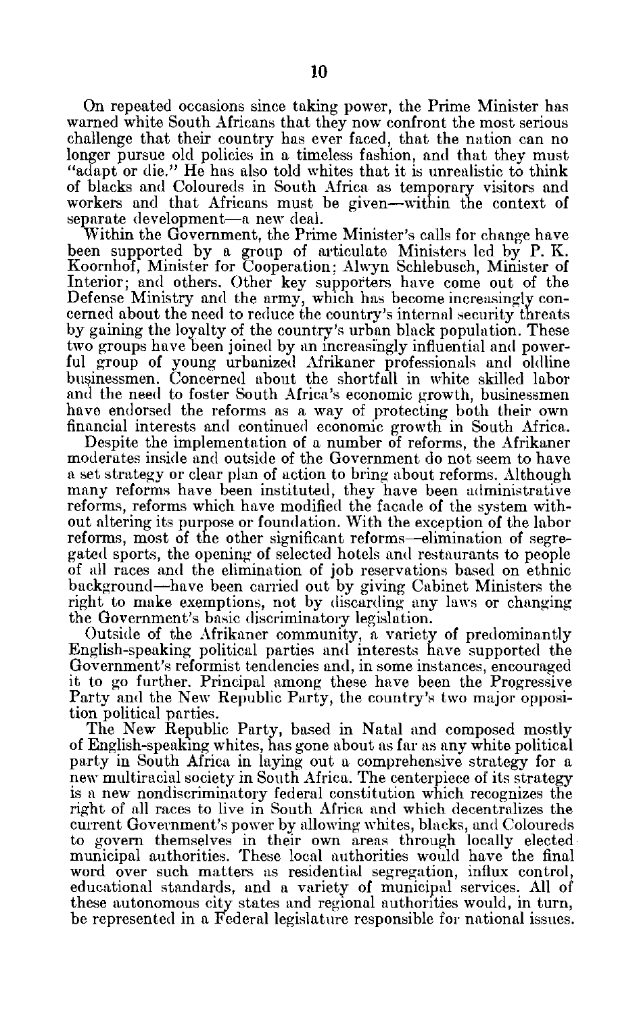On repeated occasions since taking power, the Prime Minister has warned white South Africans that they now confront the most serious challenge that their country has ever faced, that the nation can no longer pursue old policies in a timeless fashion, and that they must "adapt or die." He has also told whites that it is unrealistic to think of blacks and Coloureds in South Africa as temporary visitors and workers and that Africans must be given-within the context of separate development-a new deal.

Within the Government, the Prime Minister's calls for change have been supported by a group of articulate Ministers led by P. K. Koornhof, Minister for Cooperation; Alwyn Schlebusch, Minister of Interior; and others. Other key supporters have come out of the Defense Ministry and the army, which has become increasingly con cerned about the need to reduce the country's internal security threats by gaining the loyalty of the country's urban black population. These two groups have been joined by an increasingly influential and power ful group of young urbanized Afrikaner professionals and oldline businessmen. Concerned about the shortfall in white skilled labor and the need to foster South Africa's economic growth, businessmen have endorsed the reforms as a way of protecting both their own financial interests and continued economic growth in South Africa.

Despite the implementation of a number of reforms, the Afrikaner moderates inside and outside of the Government do not seem to have a set strategy or clear plan of action to bring about reforms. Although many reforms have been instituted, they have been administrative reforms, reforms which have modified the facade of the system with out altering its purpose or foundation. With the exception of the labor reforms, most of the other significant reforms—elimination of segregated sports, the opening of selected hotels and restaurants to people of all races and the elimination of job reservations based on ethnic background-have been carried out by giving Cabinet Ministers the right to make exemptions, not by discarding any laws or changing the Government's basic discriminatory legislation.

Outside of the Afrikaner community, a variety of predominantly English-speaking political parties and interests have supported the Government's reformist tendencies and, in some instances, encouraged it to go further. Principal among these have been the Progressive Party and the New Republic Party, the country's two major opposi tion political parties.

The New Republic Party, based in Natal and composed mostly of English-speaking whites, has gone about as far as any white political party in South Africa in laying out a comprehensive strategy for a new multiracial society in South Africa. The centerpiece of its strategy is a new nondiscriminatory federal constitution which recognizes the right of all races to live in South Africa and which decentralizes the current Government's power by allowing whites, blacks, and Coloureds to govern themselves in their own areas through locally elected municipal authorities. These local authorities would have the final word over such matters as residential segregation, influx control, educational standards, and a variety of municipal services. All of these autonomous city states and regional authorities would, in turn, be represented in a Federal legislature responsible for national issues.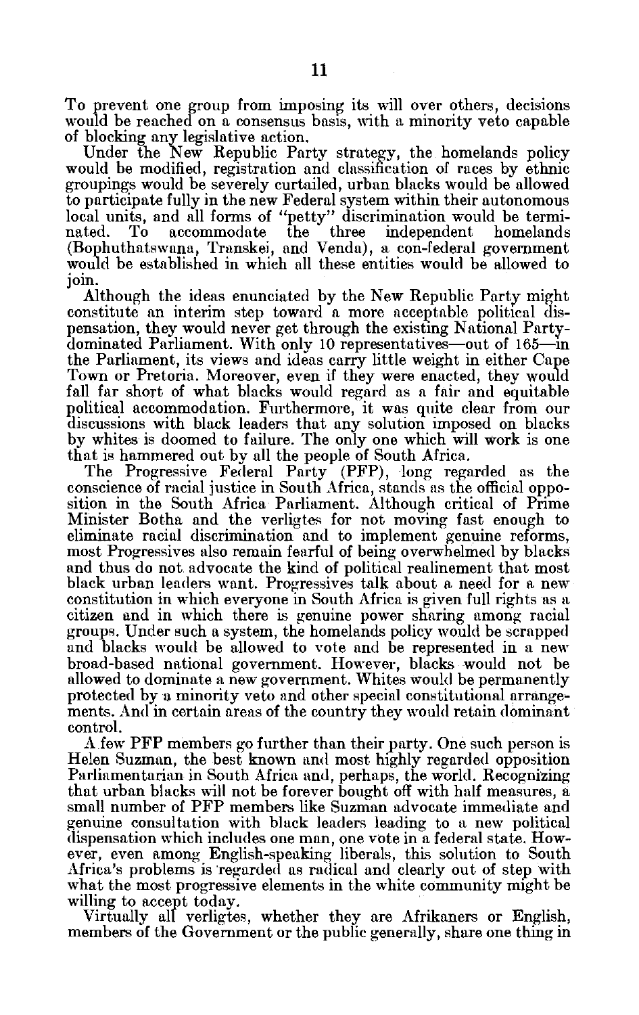To prevent one group from imposing its will over others, decisions would be reached on a consensus basis, with a minority veto capable of blocking any legislative action.

Under the New Republic Party strategy, the homelands policy would be modified, registration and classification of races by ethnic groupings would be severely curtailed, urban blacks would be allowed to participate fully in the new Federal system within their autonomous local units, and all forms of "petty" discrimination would be termi nated. To accommodate the three independent homelands (Bophuthatswana, Transkei, and Venda), a con-federal government would be established in which all these entities would be allowed to join.

Although the ideas enunciated by the New Republic Party might constitute an interim step toward a more acceptable political dis pensation, they would never get through the existing National Party dominated Parliament. With only 10 representatives—out of 165—in the Parliament, its views and ideas carry little weight in either Cape Town or Pretoria. Moreover, even if they were enacted, they would fall far short of what blacks would regard as a fair and equitable political accommodation. Furthermore, it was quite clear from our discussions with black leaders that any solution imposed on blacks by whites is doomed to failure. The only one which will work is one that is hammered out by all the people of South Africa.

The Progressive Federal Party (PFP), long regarded as the conscience of racial justice in South Africa, stands as the official oppo sition in the South Africa Parliament. Although critical of Prime Minister Botha and the verligtes for not moving fast enough to eliminate racial discrimination and to implement genuine reforms, most Progressives also remain fearful of being overwhelmed by blacks and thus do not advocate the kind of political realinement that most black urban leaders want. Progressives talk about a need for a new constitution in which everyone in South Africa is given full rights as a citizen and in which there is genuine power sharing among racial groups. Under such a system, the homelands policy would be scrapped and blacks would be allowed to vote and be represented in a new broad-based national government. However, blacks would not be allowed to dominate a new government. Whites would be permanently protected by a minority veto and other special constitutional arrange ments. And in certain areas of the country they would retain dominant control.

A few PFP members go further than their party. One such person is Helen Suzman, the best known and most highly regarded opposition Parliamentarian in South Africa and, perhaps, the world. Recognizing that urban blacks will not be forever bought off with half measures, a small number of PFP members like Suzman advocate immediate and genuine consultation with black leaders leading to a new political dispensation which includes one man, one vote in a federal state. How ever, even among English-speaking liberals, this solution to South Africa's problems is regarded as radical and clearly out of step with what the most progressive elements in the white community might be willing to accept today.

Virtually all verligtes, whether they are Afrikaners or English, members of the Government or the public generally, share one thing in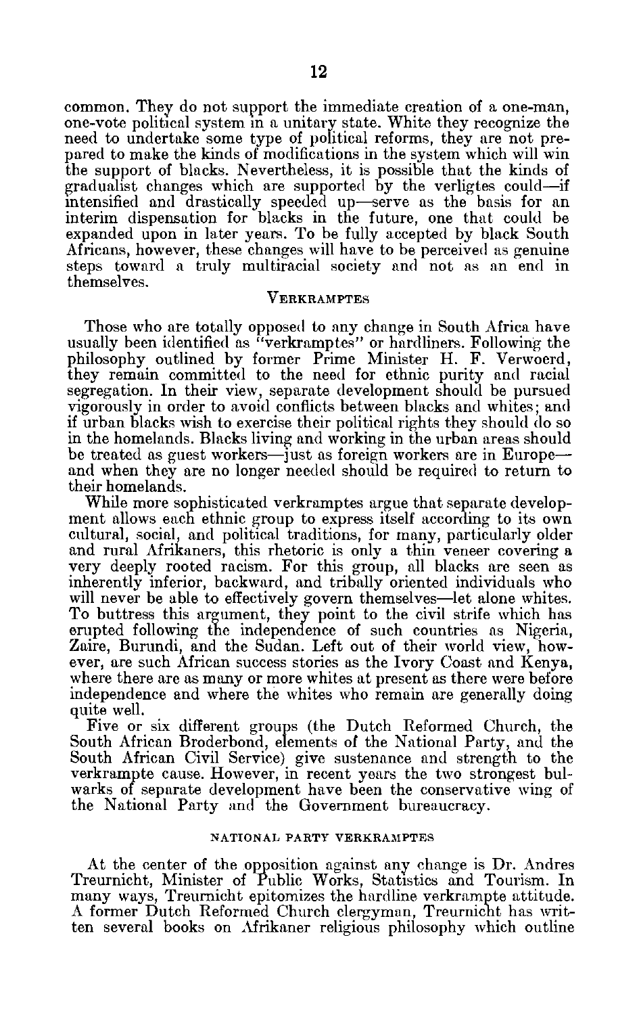common. They do not support the immediate creation of a one-man, one-vote political system in a unitary state. White they recognize the need to undertake some type of political reforms, they are not pre pared to make the kinds of modifications in the system which will win the support of blacks. Nevertheless, it is possible that the kinds of gradualist changes which are supported by the verligtes could-if intensified and drastically speeded up-serve as the basis for an interim dispensation for blacks in the future, one that could be expanded upon in later years. To be fully accepted by black South Africans, however, these changes will have to be perceived as genuine steps toward a truly multiracial society and not as an end in themselves.

#### **VERKRAMPTES**

Those who are totally opposed to any change in South Africa have usually been identified as "verkramptes" or hardliners. Following the philosophy outlined by former Prime Minister H. F. Verwoerd, they remain committed to the need for ethnic purity and racial segregation. In their view, separate development should be pursued vigorously in order to avoid conflicts between blacks and whites; and if urban blacks wish to exercise their political rights they should do so in the homelands. Blacks living and working in the urban areas should be treated as guest workers—just as foreign workers are in Europe and when they are no longer needed should be required to return to their homelands.

While more sophisticated verkramptes argue that separate develop ment allows each ethnic group to express itself according to its own cultural, social, and political traditions, for many, particularly older and rural Afrikaners, this rhetoric is only a thin veneer covering a very deeply rooted racism. For this group, all blacks are seen as inherently inferior, backward, and tribally oriented individuals who will never be able to effectively govern themselves—let alone whites. To buttress this argument, they point to the civil strife which has erupted following the independence of such countries as Nigeria, Zaire, Burundi, and the Sudan. Left out of their world view, how ever, are such African success stories as the Ivory Coast and Kenya, where there are as many or more whites at present as there were before independence and where the whites who remain are generally doing quite well.

Five or six different groups (the Dutch Reformed Church, the South African Broderbond, elements of the National Party, and the South African Civil Service) give sustenance and strength to the verkrampte cause. However, in recent years the two strongest bul warks of separate development have been the conservative wing of the National Party and the Government bureaucracy.

#### NATIONAL **PARTY VERKRAMPTES**

At the center of the opposition against any change is Dr. Andres Treurnicht, Minister of Public Works, Statistics and Tourism. In many ways, Treurnicht epitomizes the hardline verkrampte attitude. A former Dutch Reformed Church clergyman, Treurnicht has writ ten several books on Afrikaner religious philosophy which outline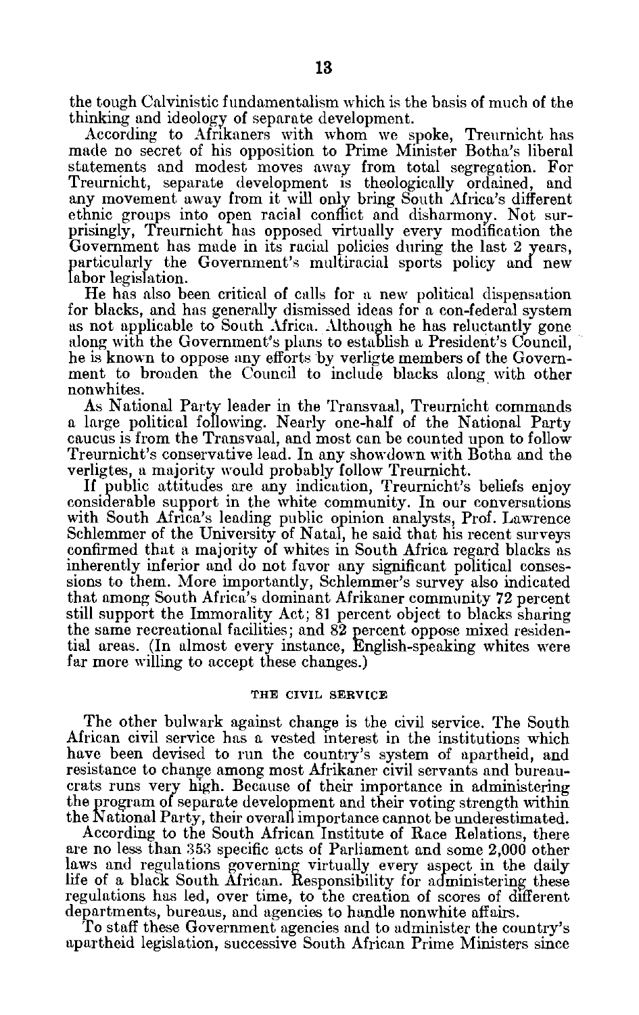the tough Calvinistic fundamentalism which is the basis of much of the thinking and ideology of separate development.

According to Afrikaners with whom we spoke, Treurnicht has made no secret of his opposition to Prime Minister Botha's liberal statements and modest moves away from total segregation. For Treurnicht, separate development is theologically ordained, and any movement away from it will only bring South Africa's different ethnic groups into open racial conflict and disharmony. Not sur prisingly, Treurnicht has opposed virtually every modification the Government has made in its racial policies during the last 2 years, particularly the Government's multiracial sports policy and new labor legislation.

He has also been critical of calls for a new political dispensation for blacks, and has generally dismissed ideas for a con-federal system as not applicable to South Africa. Although he has reluctantly gone along with the Government's plans to establish a President's Council, he is known to oppose any efforts by verligte members of the Govern ment to broaden the Council to include blacks along with other nonwhites.

As National Party leader in the Transvaal, Treurnicht commands a large political following. Nearly one-half of the National Party caucus is from the Transvaal, and most can be counted upon to follow Treurnicht's conservative lead. In any showdown with Botha and the verligtes, a majority would probably follow Treurnicht.

If public attitudes are any indication, Treurnicht's beliefs enjoy considerable support in the white community. In our conversations with South Africa's leading public opinion analysts, Prof. Lawrence Schlemmer of the University of Natal, he said that his recent surveys confirmed that a majority of whites in South Africa regard blacks as inherently inferior and do not favor any significant political conses sions to them. More importantly, Schlemmer's survey also indicated that among South Africa's dominant Afrikaner community 72 percent still support the Immorality Act; 81 percent object to blacks sharing the same recreational facilities; and 82 percent oppose mixed residen tial areas. (In almost every instance, English-speaking whites were far more willing to accept these changes.)

#### **THE CIVIL SERVICE**

The other bulwark against change is the civil service. The South African civil service has a vested interest in the institutions which have been devised to run the country's system of apartheid, and resistance to change among most Afrikaner civil servants and bureau crats runs very high. Because of their importance in administering the program of separate development and their voting strength within the National Party, their overall importance cannot be underestimated.

According to the South African Institute of Race Relations, there are no less than 353 specific acts of Parliament and some 2,000 other laws and regulations governing virtually every aspect in the daily life of a black South African. Responsibility for administering these regulations has led, over time, to the creation of scores of different departments, bureaus, and agencies to handle nonwhite affairs.

To staff these Government agencies and to administer the country's apartheid legislation, successive South African Prime Ministers since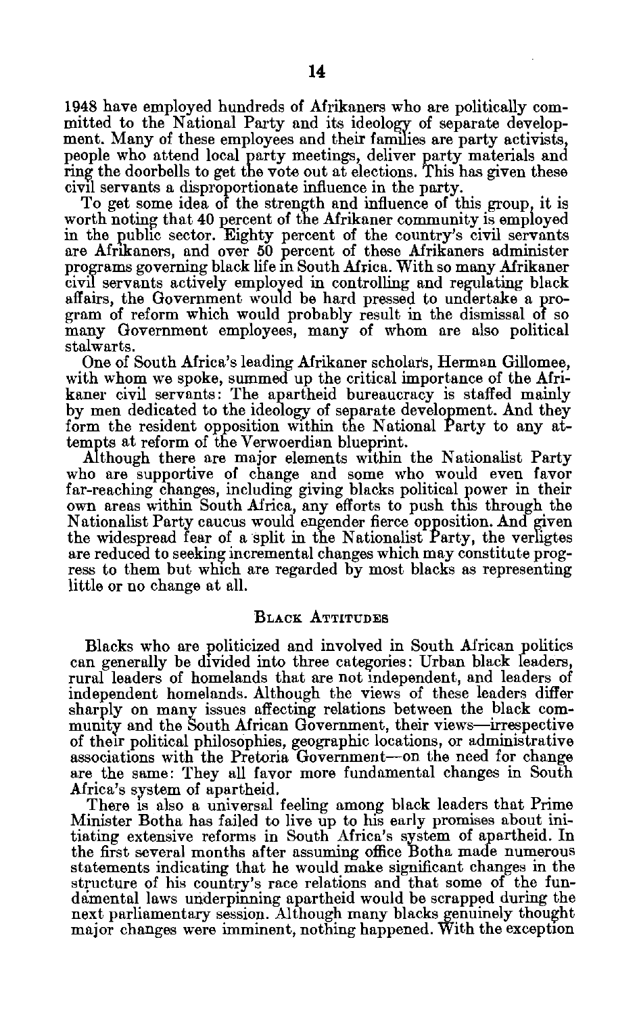1948 have employed hundreds of Afrikaners who are politically com mitted to the National Party and its ideology of separate develop ment. Many of these employees and their families are party activists, people who attend local party meetings, deliver party materials and ring the doorbells to get the vote out at elections. This has given these civil servants a disproportionate influence in the party.

To get some idea of the strength and influence of this group, it is worth noting that 40 percent of the Afrikaner community is employed in the public sector. Eighty percent of the country's civil servants are Afrikaners, and over 50 percent of these Afrikaners administer programs governing black life in South Africa. With so many Afrikaner civil servants actively employed in controlling and regulating black affairs, the Government would be hard pressed to undertake a pro gram of reform which would probably result in the dismissal of so many Government employees, many of whom are also political stalwarts.

One of South Africa's leading Afrikaner scholars, Herman Gillomee, with whom we spoke, summed up the critical importance of the Afri kaner civil servants: The apartheid bureaucracy is staffed mainly by men dedicated to the ideology of separate development. And they form the resident opposition within the National Party to any at tempts at reform of the Verwoerdian blueprint.

Although there are major elements within the Nationalist Party who are supportive of change and some who would even favor far-reaching changes, including giving blacks political power in their own areas within South Africa, any efforts to push this through the Nationalist Party caucus would engender fierce opposition. And given the widespread fear of a split in the Nationalist Party, the verligtes are reduced to seeking incremental changes which may constitute prog ress to them but which are regarded by most blacks as representing little or no change at all.

#### **BLACK ATTITUDES**

Blacks who are politicized and involved in South African politics can generally be divided into three categories: Urban black leaders, rural leaders of homelands that are not independent, and leaders of independent homelands. Although the views of these leaders differ sharply on many issues affecting relations between the black com munity and the South African Government, their views-irrespective of their political philosophies, geographic locations, or administrative associations with the Pretoria Government-on the need for change are the same: They all favor more fundamental changes in South Africa's system of apartheid.

There is also a universal feeling among black leaders that Prime Minister Botha has failed to live up to his early promises about ini tiating extensive reforms in South Africa's system of apartheid. In the first several months after assuming office Botha made numerous statements indicating that he would make significant changes in the structure of his country's race relations and that some of the fun dimental laws underpinning apartheid would be scrapped during the next parliamentary session. Although many blacks genuinely thought major changes were imminent, nothing happened. With the exception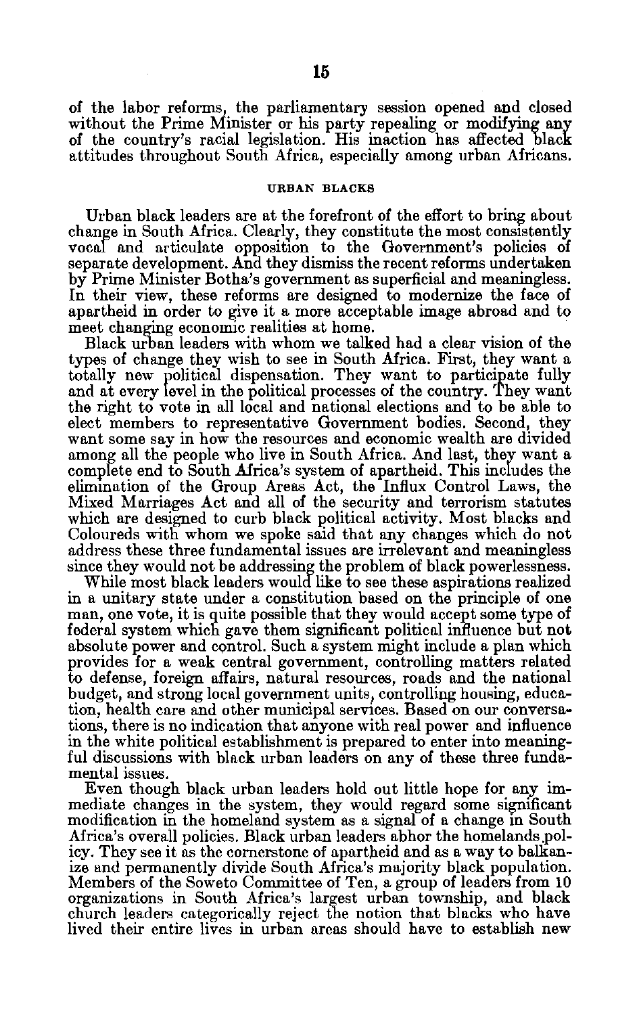of the labor reforms, the parliamentary session opened and closed without the Prime Minister or his party repealing or modifying **any**  of the country's racial legislation. His inaction has affected **black**  attitudes throughout South Africa, especially among urban Africans.

#### **URBAN BLACKS**

Urban black leaders are at the forefront of the effort to bring about change in South Africa. Clearly, they constitute the most consistently vocal and articulate opposition to the Government's policies of separate development. And they dismiss the recent reforms undertaken **by** Prime Minister Botha's government as superficial and meaningless. In their view, these reforms are designed to modernize the face of apartheid in order to give it a more acceptable image abroad and to meet changing economic realities at home.

Black urban leaders with whom we talked had a clear vision of the types of change they wish to see in South Africa. First, they want a totally **new** political dispensation. They want to participate fully and at every **level** in the political processes of the country. They want the right to vote in all local and national elections and to be able to elect members to representative Government bodies. Second, they want some say in how the resources and economic wealth are divided among all the people who live in South Africa. And last, they want a complete end to South Africa's system of apartheid. This includes the elimination of the Group Areas Act, the Influx Control Laws, the Mixed Marriages Act and all of the security and terrorism statutes which are designed to curb black political activity. Most blacks and Coloureds with whom we spoke said that any changes which do not address these three fundamental issues are irrelevant and meaningless since they would not be addressing the problem of black powerlessness.

While most black leaders would like to see these aspirations realized in a unitary state under a constitution based on the principle of one man, one vote, it is quite possible that they would accept some type of federal system which gave them significant political influence but not absolute power and control. Such a system might include a plan which provides for a weak central government, controlling matters related to defense, foreign affairs, natural resources, roads and the national budget, and strong local government units, controlling housing, educa tion, health care and other municipal services. Based on our conversa tions, there is no indication that anyone with real power and influence in the white political establishment is prepared to enter into meaning ful discussions with black urban leaders on any of these three funda mental issues.

Even though black urban leaders hold out little hope for any im mediate changes in the system, they would regard some significant modification in the homeland system as a signal of a change in South Africa's overall policies. Black urban leaders abhor the homelands .pol icy. They see it as the cornerstone of apartheid and as a way to balkan ize and permanently divide South Africa's majority black population. Members of the Soweto Committee of Ten, a group of leaders from **10**  organizations in South Africa's largest urban township, and black church leaders categorically reject the notion that blacks who have lived their entire lives in urban areas should have to establish new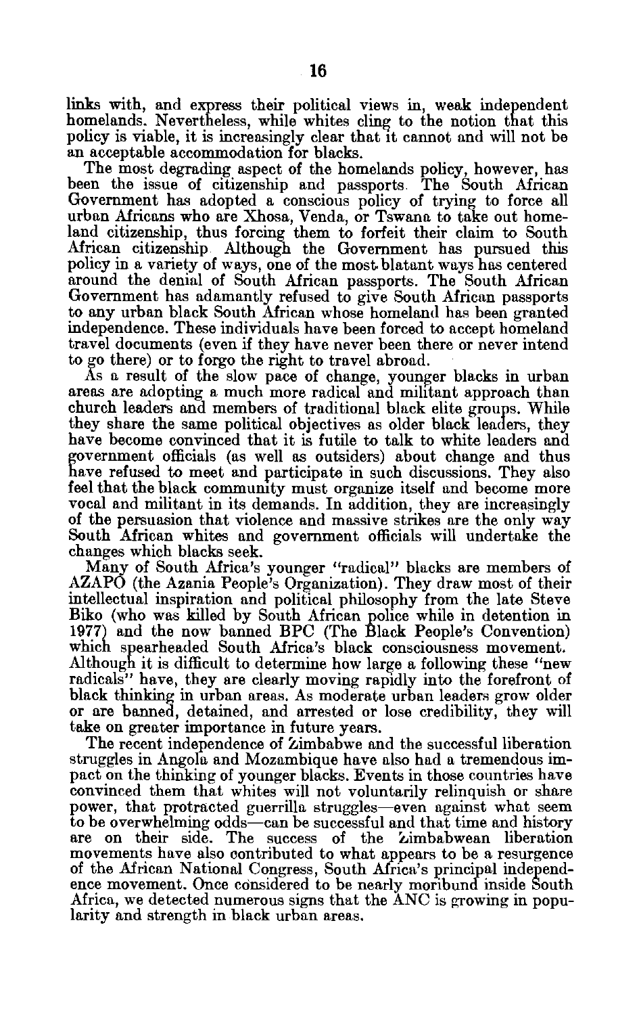links with, and express their political views in, weak independent homelands. Nevertheless, while whites cling to the notion that this policy is viable, it is increasingly clear that it cannot and will not be an acceptable accommodation for blacks.

The most degrading aspect of the homelands policy, however, has been the issue of citizenship and passports The South African Government has adopted a conscious policy of trying to force all urban Africans who are Xhosa, Venda, or Tswana to take out home land citizenship, thus forcing them to forfeit their claim to South African citizenship. Although the Government has pursued this policy in a variety of ways, one of the most. blatant ways has centered around the denial of South African passports. The South African Government has adamantly refused to give South African passports to any urban black South African whose homeland has been granted independence. These individuals have been forced to accept homeland travel documents (even if they have never been there or never intend to go there) or to forgo the right to travel abroad.

As a result of the slow pace of change, younger blacks in urban areas are adopting a much more radical and militant approach than church leaders and members of traditional black elite groups. While they share the same political objectives as older black leaders, they have become convinced that it is futile to talk to white leaders and government officials (as well as outsiders) about change and thus have refused to meet and participate in such discussions. They also feel that the black community must organize itself and become more vocal and militant in its demands. In addition, they are increasingly of the persuasion that violence and massive strikes are the only way South African whites and government officials will undertake the changes which blacks seek.

Many of South Africa's younger "radical" blacks are members of AZAPO (the Azania People's Organization). They draw most of their intellectual inspiration and political philosophy from the late Steve Biko (who was killed **by** South African police while in detention in **1977)** and the now banned BPC (The Black People's Convention) which spearheaded South Africa's black consciousness movement. Although it is difficult to determine how large a following these "new radicals" have, they are clearly moving rapidly into the forefront of black thinking in urban areas. As moderate urban leaders grow older or are banned, detained, and arrested or lose credibility, they will take on greater importance in future years.

The recent independence of Zimbabwe and the successful liberation struggles in Angola and Mozambique have also had a tremendous im pact on the thinking of younger blacks. Events in those countries have convinced them that whites will not voluntarily relinquish or share power, that protracted guerrilla struggles-even against what seem to be overwhelming odds-can be successful and that time and history are on their side. The success of the Zimbabwean liberation movements have also contributed to what appears to be a resurgence of the African National Congress, South Africa's principal independ ence movement. Once considered to be nearly moribund inside South Africa, we detected numerous signs that the ANC is growing in popu larity and strength in black urban areas.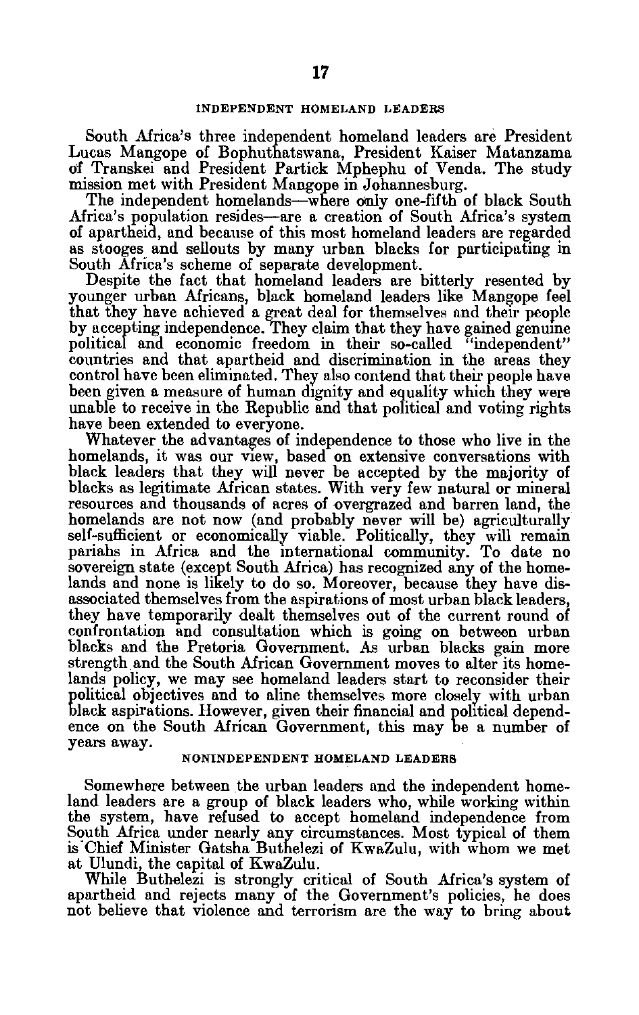South Africa's three independent homeland leaders are President Lucas Mangope of Bophuthatswana, President Kaiser Matanzama of Transkei and President Partick Mphephu of Venda. The study mission met with President Mangope in Johannesburg.

The independent homelands—where only one-fifth of black South Africa's population resides-are a creation of South Africa's system of apartheid, **and** because of this most homeland leaders are regarded as stooges and sellouts **by** many urban blacks for participating in South Africa's scheme of separate development.

Despite the fact that homeland leaders are bitterly resented **by**  younger urban Africans, black homeland leaders like Mangope feel that they have achieved a great deal for themselves and their people **by** accepting independence. They claim that they have gained genuine political and economic freedom in their so-called "independent" countries and that apartheid and discrimination in the areas they control have been eliminated. They also contend that their people have been given a measure of human dignity and equality which they were unable to receive in the Republic and that political and voting rights have been extended to everyone.

Whatever the advantages of independence to those who live in the homelands, it was our view, based on extensive conversations with black leaders that they will never be accepted **by** the majority of blacks as legitimate African states. With very few natural or mineral resources and thousands of acres of overgrazed and barren land, the homelands are not now (and probably never will be) agriculturally self-sufficient or economically viable. Politically, they will remain pariahs in Africa and the international community. To date no sovereign state (except South Africa) has recognized **any of** the home lands and none is likely to do so. Moreover, because they have dis associated themselves from the aspirations of most urban black leaders, they have temporarily dealt themselves out of the current round of confrontation and consultation which is going on between urban blacks and the Pretoria Government. As urban blacks gain more strength and the South African Government moves to alter its home lands policy, we may see homeland leaders start to reconsider their political objectives and to aline themselves more closely with urban **black** aspirations. However, given their financial and political depend ence on the South African Government, this may **be** a number of years away.

#### **NONINDEPENDENT HOMELAND LEADERS**

Somewhere between the urban leaders and the independent home land leaders are a group of black leaders who, while working within the system, have refused to accept homeland independence from South Africa under nearly any circumstances. Most typical of them is-Chief Minister Gatsha Buthelezi of KwaZulu, with whom we met at Ulundi, the capital of KwaZulu.

While Buthelezi is strongly critical of South Africa's system of apartheid and rejects many of the Government's policies, he does not believe that violence and terrorism are the way to bring about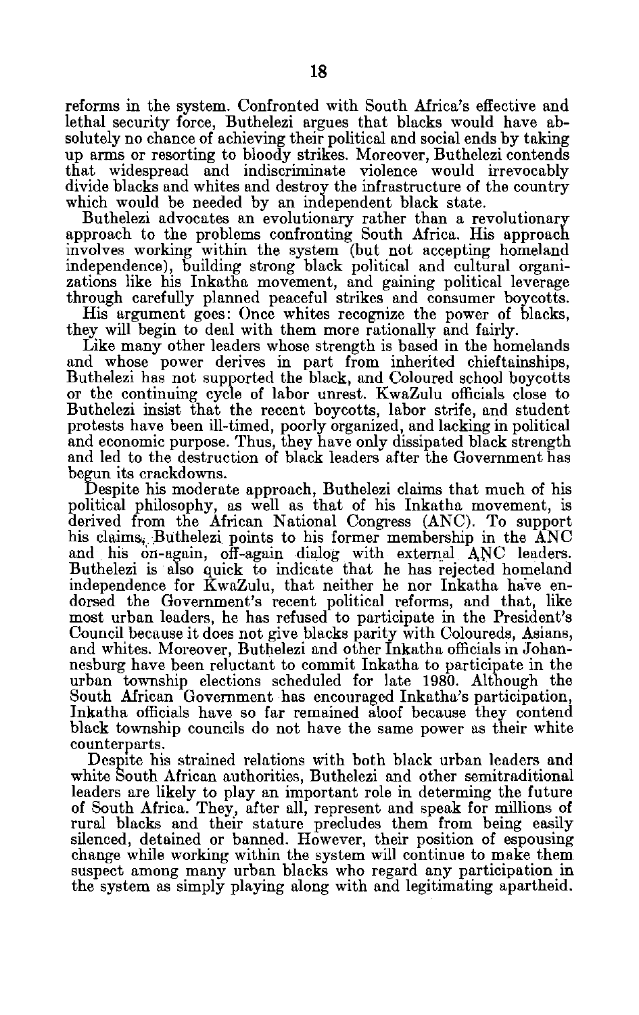reforms in the system. Confronted with South Africa's effective and lethal security force, Buthelezi argues that blacks would have ab solutely no chance of achieving their political and social ends by taking up arms or resorting to bloody strikes. Moreover, Buthelezi contends that widespread and indiscriminate violence would irrevocably divide blacks and whites and destroy the infrastructure of the country which would be needed by an independent black state.

Buthelezi advocates an evolutionary rather than a revolutionary approach to the problems confronting South Africa. His approach involves working within the system (but not accepting homeland independence), building strong black political and cultural organi zations like his Inkatha movement, and gaining political leverage through carefully planned peaceful strikes and consumer boycotts.

His argument goes: Once whites recognize the power of blacks, they will begin to deal with them more rationally and fairly.

Like many other leaders whose strength is based in the homelands and whose power derives in part from inherited chieftainships, Buthelezi has not supported the black, and Coloured school boycotts or the continuing cycle of labor unrest. KwaZulu officials close to Buthelezi insist that the recent boycotts, labor strife, and student protests have been ill-timed, poorly organized, and lacking in political and economic purpose. Thus, they have only dissipated black strength and led to the destruction of black leaders after the Government has begun its crackdowns.

Despite his moderate approach, Buthelezi claims that much of his political philosophy, as well as that of his Inkatha movement, is derived from the African National Congress (ANC). To support his claims. Buthelezi points to his former membership in the ANC and his on-again, off-again dialog with external ANC leaders. Buthelezi is also quick to indicate that he has rejected homeland independence for KwaZulu, that neither he nor Inkatha have en dorsed the Government's recent political reforms, and that, like most urban leaders, he has refused to participate in the President's Council because it does not give blacks parity with Coloureds, Asians, and whites. Moreover, Buthelezi and other Inkatha officials in Johan nesburg have been reluctant to commit Inkatha to participate in the urban township elections scheduled for late 1980. Although the South African Government has encouraged Inkatha's participation, Inkatha officials have so far remained aloof because they contend black township councils do not have the same power as their white counterparts.

Despite his strained relations with both black urban leaders and white South African authorities, Buthelezi and other semitraditional leaders are likely to play an important role in determing the future of South Africa. They, after all, represent and speak for millions of rural blacks and their stature precludes them from being easily silenced, detained or banned. However, their position of espousing change while working within the system will continue to make them suspect among many urban blacks who regard any participation in the system as simply playing along with and legitimating apartheid.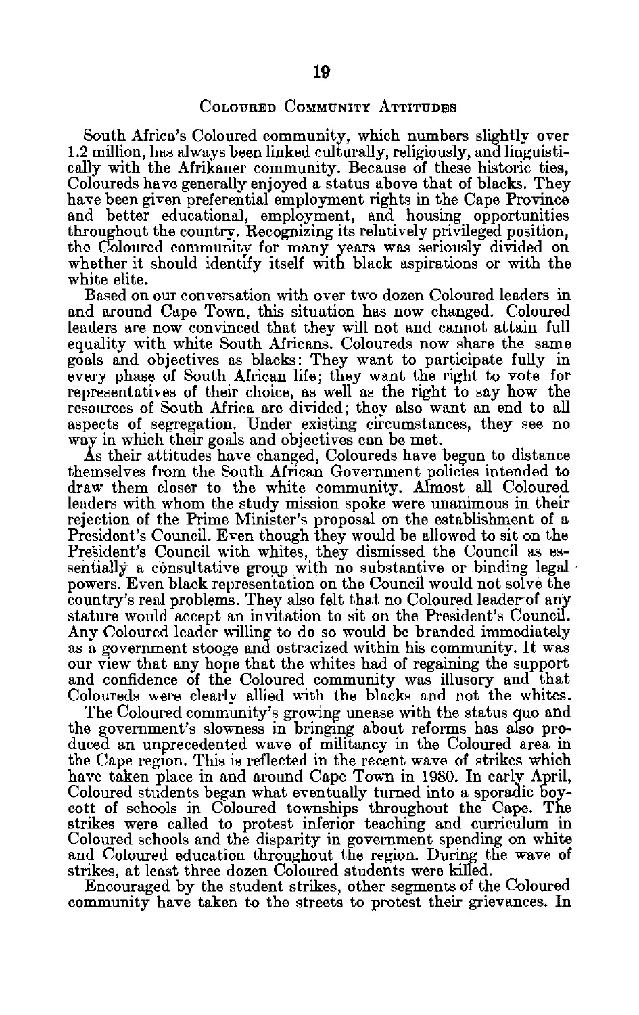South Africa's Coloured community, which numbers slightly over 1.2 million, has always been linked culturally, religiously, and linguisti cally with the Afrikaner community. Because of these historic ties, Coloureds have generally enjoyed a status above that of blacks. They have been given preferential employment rights in the Cape Province and better educational, employment, and housing opportunities throughout the country. Recognizing its relatively privileged position, the Coloured community for many years was seriously divided on whether it should identify itself with black aspirations or with the white elite.

Based on our conversation with over two dozen Coloured leaders in and around Cape Town, this situation has **now changed.** Coloured leaders are now convinced that they will not and cannot attain full equality with white South Africans. Coloureds now share the same goals and objectives as blacks: They want to participate fully in every phase of South African life; they want the right to vote for representatives of their choice, as well as the right to say how the resources of South Africa are divided; they also want an end to all aspects of segregation. Under existing circumstances, they see no **way** in which their goals and objectives can be met.

**As** their attitudes have changed, Coloureds have begun to distance themselves from the South African Government policies intended to draw them closer to the white community. Almost all Coloured leaders with whom the study mission spoke were unanimous in their rejection of the Prime Minister's proposal on the establishment of a President's Council. Even though they would be allowed to sit on the President's Council with whites, they dismissed the Council as essentially a consultative group with no substantive or binding legal powers. Even black representation on the Council would not solve the country's real problems. They also felt that no Coloured leader-of any stature would accept an invitation to sit on the President's Council. Any Coloured leader willing to do so would be branded immediately as a government stooge and ostracized within his community. It was our view that any hope that the whites had of regaining the support and confidence of the Coloured community was illusory and that Coloureds were clearly allied with the blacks and not the whites.

The Coloured community's growing unease with the status quo and the government's slowness in bringing about reforms has also pro duced an unprecedented wave of militancy in the Coloured area in the Cape region. This is reflected in the recent wave of strikes which have taken place in and around Cape Town in 1980. In early April, Coloured students began what eventually turned into a sporadic boy cott of schools in Coloured townships throughout the Cape. The strikes were called to protest inferior teaching and curriculum in Coloured schools and the disparity in government spending on white and Coloured education throughout the region. During the wave of strikes, at least three dozen Coloured students were killed.

Encouraged by the student strikes, other segments of the Coloured community have taken to the streets to protest their grievances. In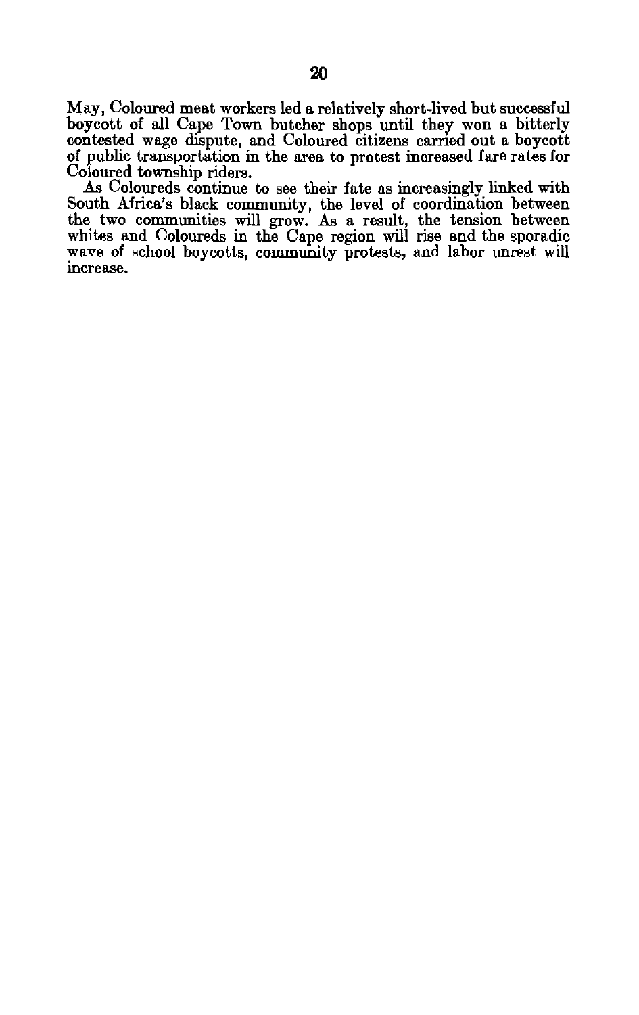May, Coloured meat workers led a relatively short-lived but successful boycott of all Cape Town butcher shops until they won a bitterly contested wage dispute, and Coloured citizens carried out a boycott of public transportation in the area to protest increased fare rates for Coloured township riders.

As Coloureds continue to see their fate as increasingly linked with South Africa's black community, the level of coordination between the two communities will grow. As a result, the tension between whites and Coloureds in the Cape region will rise and the sporadic wave of school boycotts, community protests, and labor unrest will increase.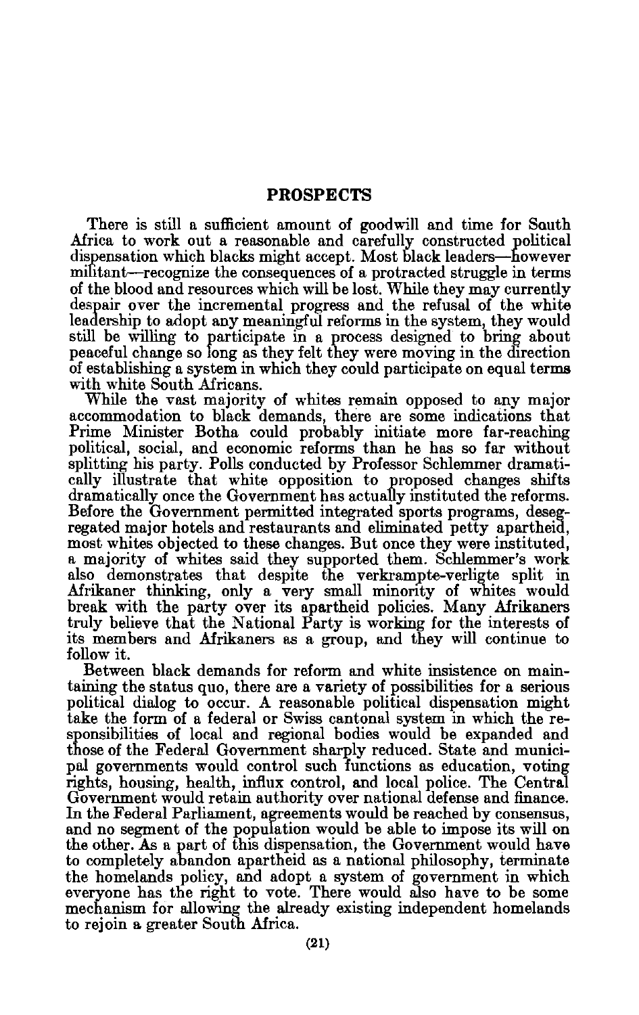## **PROSPECTS**

There is still a sufficient amount of goodwill and time for South Africa to work out a reasonable and carefully constructed political dispensation which blacks might accept. Most black leaders-however militant-recognize the consequences of a protracted struggle in terms of the blood and resources which will be lost. While they may currently despair over the incremental progress and the refusal of the white leadership to adopt any meaningful reforms in the system, they would still be willing to participate in a process designed to bring about peaceful change so long as they felt they were moving in the direction of establishing a system in which they could participate on equal terms with white South Africans.

While the vast majority of whites remain opposed to any major accommodation to black demands, there are some indications that Prime Minister Botha could probably initiate more far-reaching political, social, and economic reforms than he has so far without splitting his party. Polls conducted by Professor Schlemmer dramati cally illustrate that white opposition to proposed changes shifts dramatically once the Government has actually instituted the reforms. Before the Government permitted integrated sports programs, deseg regated major hotels and restaurants and eliminated petty apartheid, most whites objected to these changes. But once they were instituted, a majority of whites said they supported them. Schlemmer's work also demonstrates that despite the verkrampte-verligte split in Afrikaner thinking, only a very small minority of whites would break with the party over its apartheid policies. Many Afrikaners truly believe that the National Party is working for the interests of its members and Afrikaners as a group, and they will continue to follow it.

Between black demands for reform and white insistence on main taining the status quo, there are a variety of possibilities for a serious political dialog to occur. A reasonable political dispensation might take the form of a federal or Swiss cantonal system in which the re sponsibilities of local and regional bodies would be expanded and those of the Federal Government sharply reduced. State and munici pal governments would control such functions as education, voting rights, housing, health, influx control, and local police. The Central Government would retain authority over national defense and finance. In the Federal Parliament, agreements would be reached by consensus, and no segment of the population would be able to impose its will on the other. As a part of this dispensation, the Government would have to completely abandon apartheid as a national philosophy, terminate the homelands policy, and adopt a system of government in which everyone has the right to vote. There would also have to be some mechanism for allowing the already existing independent homelands to rejoin a greater South Africa.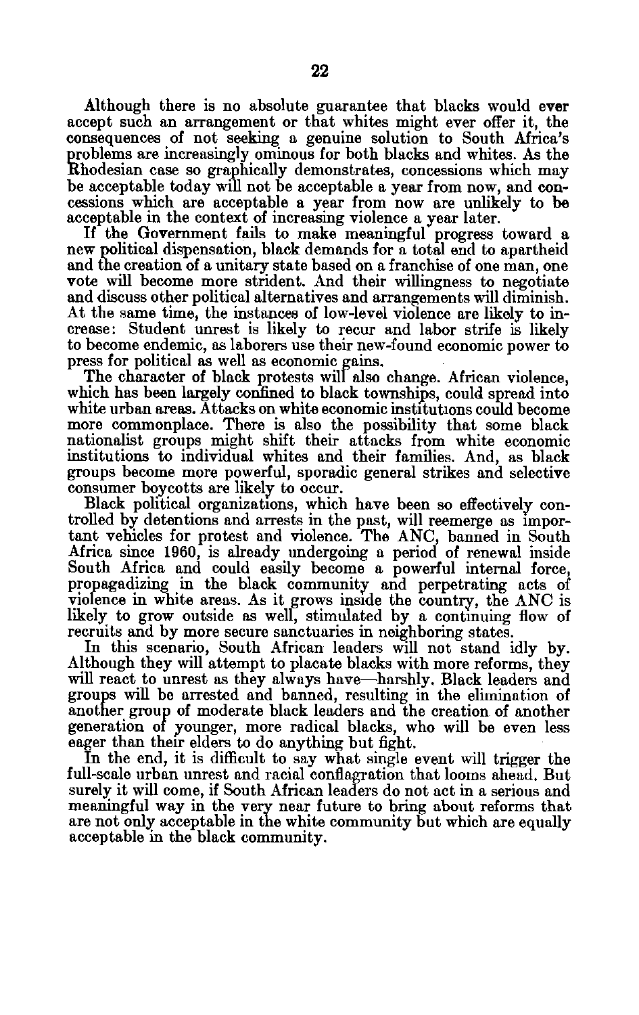Although there is no absolute guarantee that blacks would ever accept such an arrangement or that whites might ever offer it, the consequences of not seeking a genuine solution to South Africa's problems are increasingly ominous for both blacks and whites. As the Rhodesian case so graphically demonstrates, concessions which may be acceptable today will not be acceptable a year from now, and con cessions which are acceptable a year from now are unlikely to be acceptable in the context of increasing violence a year later.

If the Government fails to make meaningful progress toward a new political dispensation, black demands for a total end to apartheid and the creation of a unitary state based on a franchise of one man, one vote will become more strident. And their willingness to negotiate and discuss other political alternatives and arrangements will diminish. At the same time, the instances of low-level violence are likely to in crease: Student unrest is likely to recur and labor strife is likely to become endemic, as laborers use their new-found economic power to press for political as well as economic gains.

The character of black protests will also change. African violence, which has been largely confined to black townships, could spread into white urban areas. Attacks on white economic institutions could become more commonplace. There is also the possibility that some black nationalist groups might shift their attacks from white economic institutions **to** individual whites and their families. And, as black groups become more powerful, sporadic general strikes and selective consumer boycotts are likely to occur.

Black political organizations, which have been so effectively con trolled **by** detentions and arrests in the past, will reemerge as impor tant vehicles for protest and violence. The ANC, banned in South Africa since **1960,** is already undergoing a period of renewal inside South Africa and could easily become a powerful internal force, propagadizing in the black community and perpetrating acts of violence in white areas. As it grows inside the country, the ANC is likely to grow outside as well, stimulated **by** a continuing flow of recruits and **by** more secure sanctuaries in neighboring states.

In this scenario, South African leaders will not stand idly **by.**  Although they will attempt to placate blacks with more reforms, they will react to unrest as they always have-harshly. Black leaders and groups will be arrested and banned, resulting in the elimination of another group of moderate black leaders and the creation of another generation of younger, more radical blacks, who will be even less eager than their elders to do anything but fight.

In the end, it is difficult to say what single event will trigger the full-scale urban unrest and racial conflagration that looms ahead. But surely it will come, if South African leaders do not act in a serious and meaningful way in the very near future to bring about reforms that are not only acceptable in the white community but which are equally acceptable in the black community.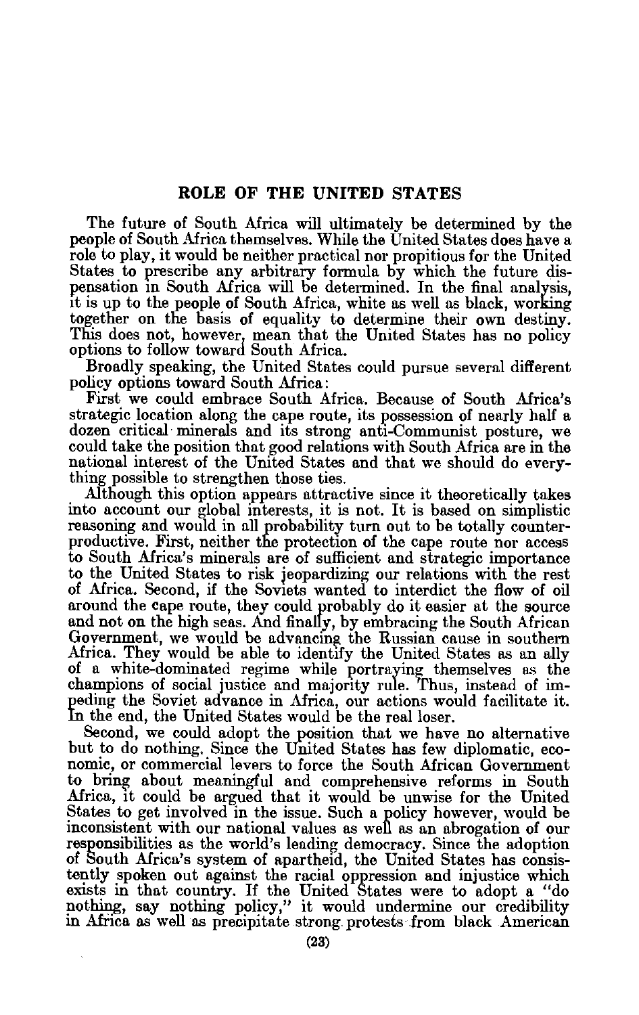The future of South Africa will ultimately be determined by the people of South Africa themselves. While the United States does have a role to play, it would be neither practical nor propitious for the United States to prescribe any arbitrary formula by which the future dis pensation in South Africa will be determined. In the final analysis, it is up to the people of South Africa, white as well as black, working together on the basis of equality to determine their own destiny. This does not, however, mean that the United States has no policy options to follow toward South Africa.

Broadly speaking, the United States could pursue several different policy options toward South Africa:

First we could embrace South Africa. Because of South Africa's strategic location along the cape route, its possession of nearly half a dozen critical minerals and its strong anti-Communist posture, we could take the position that good relations with South Africa are in the national interest of the United States and that we should do every thing possible to strengthen those ties.

Although this option appears attractive since it theoretically takes into account our global interests, it is not. It is based on simplistic reasoning and would in all probability turn out to be totally counter productive. First, neither the protection of the cape route nor access to South Africa's minerals are of sufficient and strategic importance to the United States to risk jeopardizing our relations with the rest of Africa. Second, if the Soviets wanted to interdict the flow of oil around the cape route, they could probably do it easier at the source and not on the high seas. And finally, by embracing the South African Government, we would be advancing the Russian cause in southern Africa. They would be able to identify the United States as an ally of a white-dominated regime while portraying themselves as the champions of social justice and majority rule. Thus, instead of im peding the Soviet advance in Africa, our actions would facilitate it. n the end, the United States would be the real loser.

Second, we could adopt the position that we have no alternative but to do nothing. Since the United States has few diplomatic, eco nomic, or commercial levers to force the South African Government to bring about meaningful and comprehensive reforms in South Africa, it could be argued that it would be unwise for the United States to get involved in the issue. Such a policy however, would be inconsistent with our national values as well as an abrogation of our responsibilities as the world's leading democracy. Since the adoption of South Africa's system of apartheid, the United States has consis tently spoken out against the racial oppression and injustice which exists in that country. If the United States were to adopt a "do nothing, say nothing policy," it would undermine our credibility in Africa as well as precipitate strong. protests from black American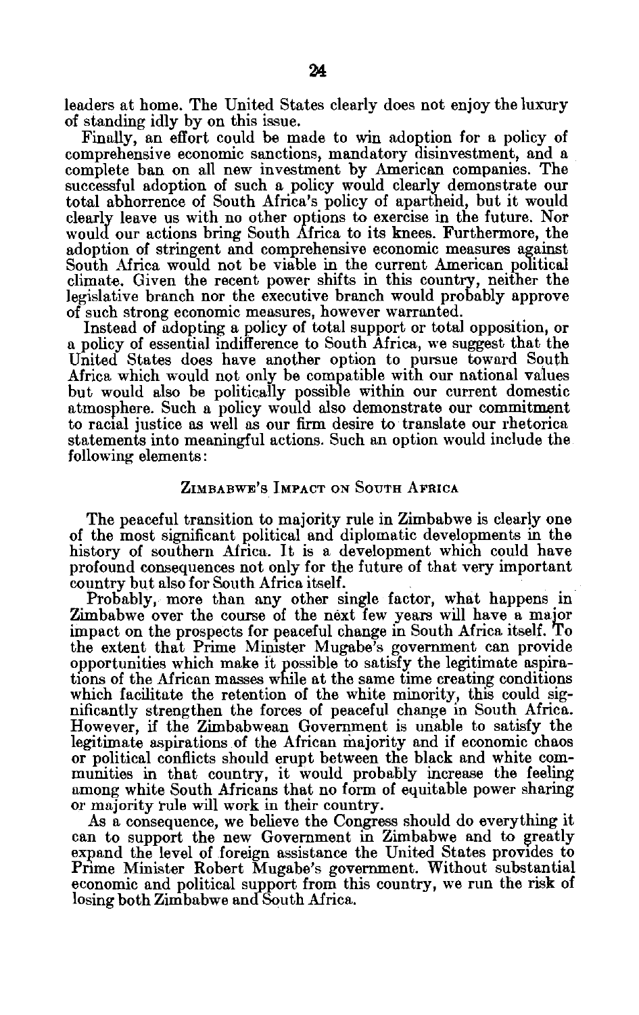leaders at home. The United States clearly does not enjoy the luxury of standing idly by on this issue.

Finally, an effort could be made to win adoption for a policy of comprehensive economic sanctions, mandatory disinvestment, and a complete ban on all new investment by American companies. The successful adoption of such a policy would clearly demonstrate our total abhorrence of South Africa's policy of apartheid, but it would clearly leave us with no other options to exercise in the future. Nor would our actions bring South Africa to its knees. Furthermore, the adoption of stringent and comprehensive economic measures against South Africa would not be viable in the current American political climate. Given the recent power shifts in this country, neither the legislative branch nor the executive branch would probably approve of such strong economic measures, however warranted.

Instead of adopting a policy of total support or total opposition, or a policy of essential indifference to South Africa, we suggest that the United States does have another option to pursue toward South Africa which would not only be compatible with our national values but would also be politically possible within our current domestic atmosphere. Such a policy would also demonstrate our commitment to racial justice as well as our firm desire to translate our rhetorica statements into meaningful actions. Such an option would include the following elements:

#### **ZIMBABWE'S IMPACT ON SOUTH AFRICA**

The peaceful transition to majority rule in Zimbabwe is clearly one of the most significant political and diplomatic developments in the history of southern Africa. It is a development which could have profound consequences not only for the future of that very important country but also for South Africa itself.

Probably, more than any other single factor, what happens in Zimbabwe over the course of the next few years will have a major impact on the prospects for peaceful change in South Africa itself. To the extent that Prime Minister Mugabe's government can provide opportunities which make it possible to satisfy the legitimate aspira tions of the African masses while at the same time creating conditions which facilitate the retention of the white minority, this could sig nificantly strengthen the forces of peaceful change in South Africa. However, if the Zimbabwean Government is unable to satisfy the legitimate aspirations of the African majority and if economic chaos or political conflicts should erupt between the black and white com munities in that country, it would probably increase the feeling among white South Africans that no form of equitable power sharing or majority rule will work in their country.

As a consequence, we believe the Congress should do everything it can to support the new Government in Zimbabwe and to greatly expand the level of foreign assistance the United States provides to Prime Minister Robert Mugabe's government. Without substantial economic and political support from this country, we run the risk of losing both Zimbabwe and South Africa.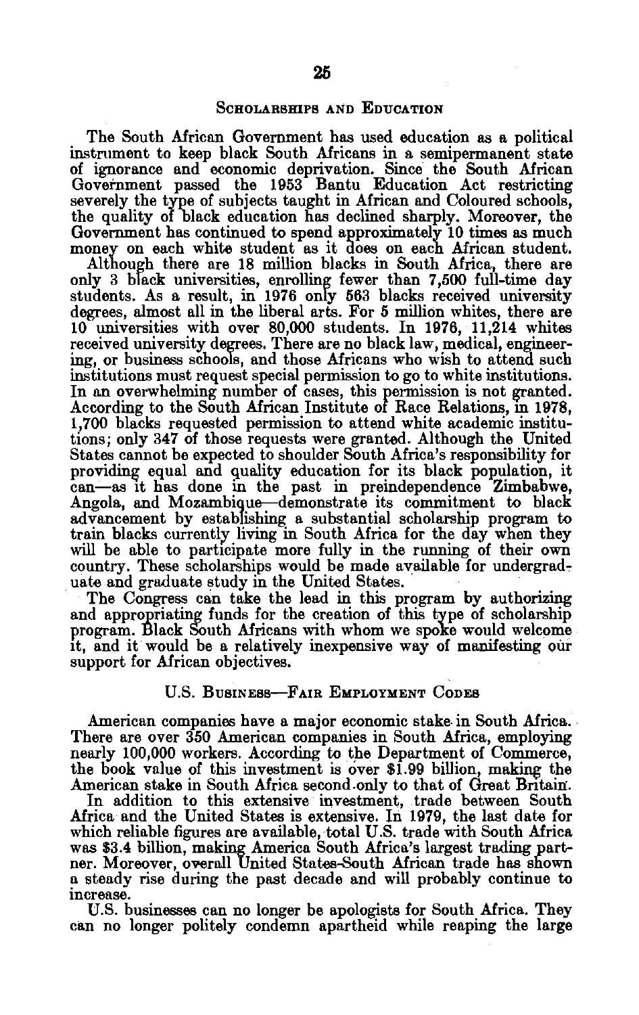#### SCHOLARSHIPS **AND EDUCATION**

The South African Government has used education as a political instrument to keep black South Africans in a semipermanent state of ignorance and economic deprivation. Since the South African Government passed the **1953** Bantu Education Act restricting severely the type of subjects taught in African and Coloured schools, the quality of black education has declined sharply. Moreover, the Government has continued to spend approximately **10** times as much money on each white student as it does on each African student.

Although there are **18** million blacks in South Africa, there are only **3** black universities, enrolling fewer than **7,500** full-time day students. As a result, in **1976** only **563** blacks received university degrees, almost all in the liberal arts. For **5** million whites, there are **10** universities with over **80,000** students. In **1976,** 11,214 whites received university degrees. There are no black law, medical, engineer ing, or business schools, and those Africans who wish to attend such institutions must request special permission to go to white institutions. In an overwhelming number of cases, this permission is not granted. According to the South African Institute of Race Relations, in **1978, 1,700** blacks requested permission to attend white academic institu tions; only 347 of those requests were granted. Although the United States cannot be expected to shoulder South Africa's responsibility for providing equal and quality education for its black population, it can-as it has done in the past in preindependence Zimbabwe, Angola, and Mozambique-demonstrate its commitment to black advancement **by** establishing a substantial scholarship program to train blacks currently living in South Africa for the day when they will be able to participate more fully in the running of their own country. These scholarships would be made available for undergrad-<br>uate and graduate study in the United States.

The Congress can take the lead in this program by authorizing and appropriating funds for the creation of this type of scholarship program. Black South Africans with whom we spoke would welcome it, and it would be a relatively inexpensive way of manifesting **Qur**  support for African objectives.

## **U.S.** BUSINESS-FAIR EMPLOYMENT **CODES**

American companies have a major economic stake in South Africa. There are over **350** American companies in South Africa, employing nearly **100,000** workers. According **to** the Department of Commerce, the book value of this investment is over **\$1.99** billion, making the American stake in South Africa second.only to that of Great Britain'.

In addition to this extensive investment, trade between South Africa and the United States is extensive. In **1979,** the last date for which reliable figures are available, total **U.S.** trade with South Africa was \$3.4 billion, making America South Africa's largest **trading part** was \$3.4 billion, making America South Africa's largest trading part-<br>ner. Moreover, overall United States-South African trade has shown **a** steady rise during the past decade and will probably continue to increase.

**U.S.** businesses can no longer be apologists for South Africa. They can no longer politely condemn apartheid while reaping the large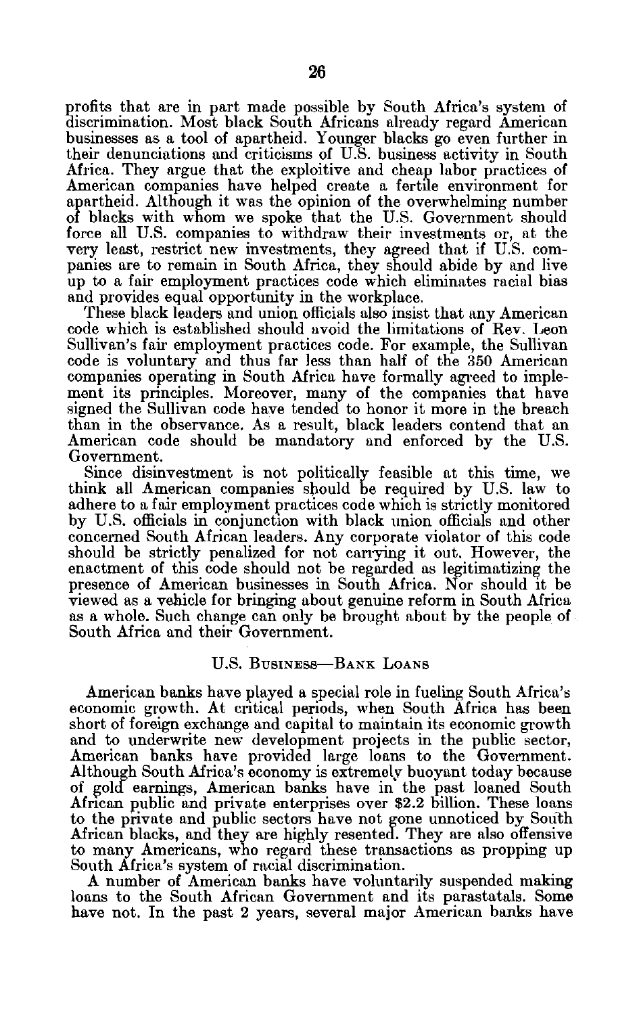profits that are in part made possible by South Africa's system of discrimination. Most black South Africans already regard American businesses as a tool of apartheid. Younger blacks go even further in their denunciations and criticisms of U.S. business activity in South Africa. They argue that the exploitive and cheap labor practices of American companies have helped create a fertile environment for apartheid. Although it was the opinion of the overwhelming number of blacks with whom we spoke that the U.S. Government should force all U.S. companies to withdraw their investments or, at the very least, restrict new investments, they agreed that if U.S. com panies are to remain in South Africa, they should abide by and live up to a fair employment practices code which eliminates racial bias and provides equal opportunity in the workplace.

These black leaders and union officials also insist that any American code which is established should avoid the limitations of Rev. Leon Sullivan's fair employment practices code. For example, the Sullivan code is voluntary and thus far less than half of the 350 American companies operating in South Africa have formally agreed to imple ment its principles. Moreover, many of the companies that have signed the Sullivan code have tended to honor it more in the breach than in the observance. As a result, black leaders contend that an American code should be mandatory and enforced by the U.S. Government.

Since disinvestment is not politically feasible at this time, we think all American companies should be required by U.S. law to adhere to a fair employment practices code which is strictly monitored by U.S. officials in conjunction with black union officials and other concerned South African leaders. Any corporate violator of this code should be strictly penalized for not carrying it out. However, the enactment of this code should not be regarded as legitimatizing the presence of American businesses in South Africa. Nor should it be viewed as a vehicle for bringing about genuine reform in South Africa as a whole. Such change can only be brought about by the people of South Africa and their Government.

## **U.S.** BUSINESS-BANK **LOANS**

American banks have played a special role in fueling South Africa's economic growth. At critical periods, when South Africa has been short of foreign exchange and capital to maintain its economic growth and to underwrite new development projects in the public sector, American banks have provided large loans to the Government. Although South Africa's economy is extremely buoyant today because of gold earnings, American banks have in the past loaned South African public and private enterprises over \$2.2 billion. These loans to the private and public sectors have not gone unnoticed **by** South African blacks, and they are **highly** resented. They are also offensive to many Americans, who regard these transactions as propping up South Africa's system of racial discrimination.

**A** number of American banks have voluntarily suspended making loans to the South African Government and its parastatals. Some have not. In the past 2 years, several major American banks have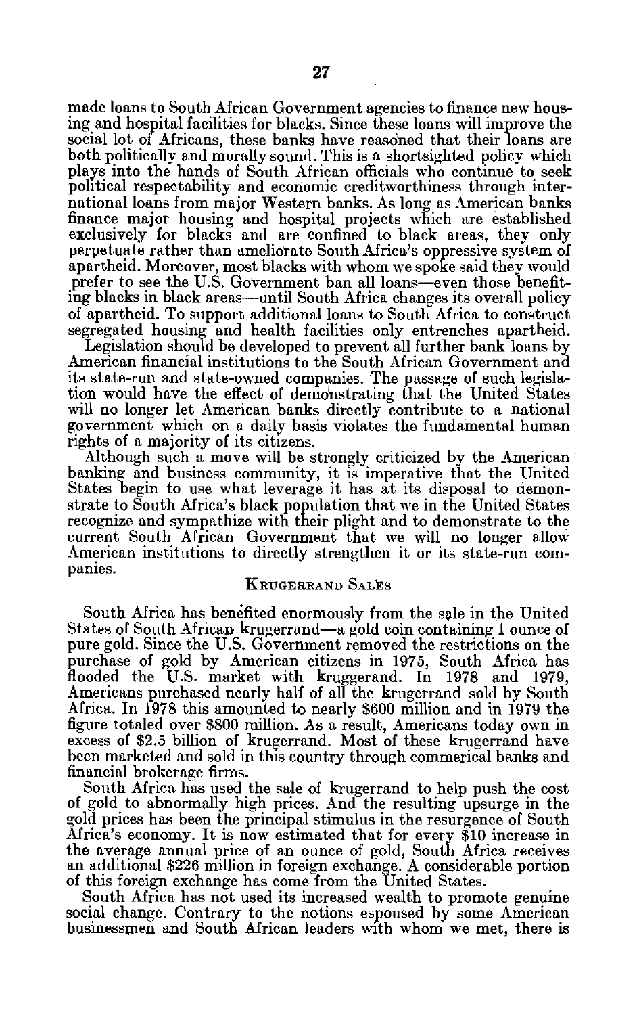made loans to South African Government agencies to finance new hous ing and hospital facilities for blacks. Since these loans will improve the social lot of Africans, these banks have reasoned that their loans are both politically and morally sound. This is a shortsighted policy which plays into the hands of South African officials who continue to seek political respectability and economic creditworthiness through inter national loans from major Western banks. As long as American banks finance major housing and hospital projects which are established exclusively for blacks and are confined to black areas, they only perpetuate rather than ameliorate South Africa's oppressive system of apartheid. Moreover, most blacks with whom we spoke said they would prefer to see the U.S. Government ban all loans-even those benefiting blacks in black areas-until South Africa changes its overall policy of apartheid. To support additional loans to South Africa to construct segregated housing and health facilities only entrenches apartheid.

Legislation should be developed to prevent all further bank loans by American financial institutions to the South African Government and its state-run and state-owned companies. The passage of such legisla tion would have the effect of demonstrating that the United States will no longer let American banks directly contribute to a national government which on a daily basis violates the fundamental human rights of a majority of its citizens.

Although such a move will be strongly criticized by the American banking and business community, it is imperative that the United States begin to use what leverage it has at its disposal to demon strate to South Africa's black population that we in the United States recognize and sympathize with their plight and to demonstrate to the current South African Government that we will no longer allow American institutions to directly strengthen it or its state-run com panies.

#### KRUGERRAND SALES

South Africa has benefited enormously from the sale in the United States of South African krugerrand-a gold coin containing 1 ounce of pure gold. Since the U.S. Government removed the restrictions on the purchase of gold by American citizens in 1975, South Africa has flooded the U.S. market with kruggerand. In 1978 and 1979, Americans purchased nearly half of all the krugerrand sold by South Africa. In 1978 this amounted to nearly \$600 million and in 1979 the figure totaled over \$800 million. As a result, Americans today own in excess of \$2.5 billion of krugerrand. Most of these krugerrand have been marketed and sold in this country through commerical banks and financial brokerage firms.

South Africa has used the sale of krugerrand to help push the cost of gold to abnormally high prices. And the resulting upsurge in the gold prices has been the principal stimulus in the resurgence of South Africa's economy. It is now estimated that for every \$10 increase in the average annual price of an ounce of gold, South Africa receives an additional \$226 million in foreign exchange. A considerable portion of this foreign exchange has come from the United States.

South Africa has not used its increased wealth to promote genuine social change. Contrary to the notions espoused by some American businessmen and South African leaders with whom we met, there is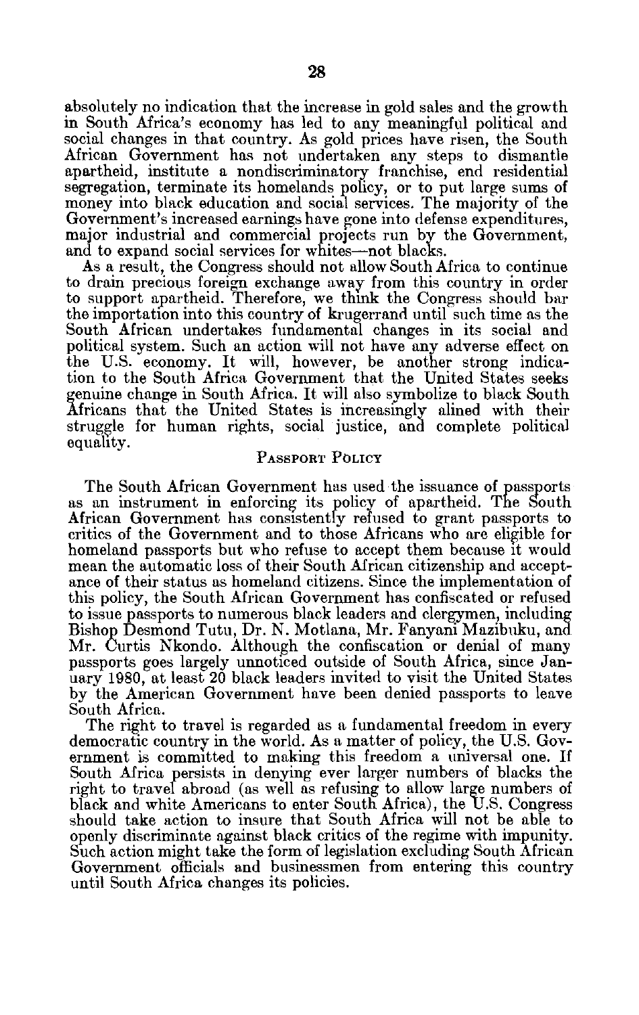absolutely no indication that the increase in gold sales and the growth in South Africa's economy has led to any meaningful political and social changes in that country. As gold prices have risen, the South African Government has not undertaken any steps to dismantle apartheid, institute a nondiscriminatory franchise, end residential segregation, terminate its homelands policy, or to put large sums of money into black education and social services. The majority of the Government's increased earnings have gone into defense expenditures, major industrial and commercial projects run by the Government, and to expand social services for whites-not blacks.

As a result, the Congress should not allow South Africa to continue to drain precious foreign exchange away from this country in order to support apartheid. Therefore, we think the Congress should bar the importation into this country of krugerrand until such time as the South African undertakes fundamental changes in its social and political system. Such an action will not have any adverse effect on the U.S. economy. It will, however, be another strong indica tion to the South Africa Government that the United States seeks genuine change in South Africa. It will also symbolize to black South fricans that the United States is increasingly alined with their struggle for human rights, social justice, and complete political equality.

### PASSPORT POLICY

The South African Government has used the issuance of passports as an instrument in enforcing its policy of apartheid. The South African Government has consistently refused to grant passports to critics of the Government and to those Africans who are eligible for homeland passports but who refuse to accept them because it would mean the automatic loss of their South African citizenship and accept ance of their status as homeland citizens. Since the implementation of this policy, the South African Government has confiscated or refused to issue passports to numerous black leaders and clergymen, including Bishop Desmond Tutu, Dr. N. Motlana, Mr. Fanyani Mazibuku, and Mr. Curtis Nkondo. Although the confiscation or denial of many passports goes largely unnoticed outside of South Africa, since Jan uary 1980, at least 20 black leaders invited to visit the United States by the American Government have been denied passports to leave South Africa.

The right to travel is regarded as a fundamental freedom in every democratic country in the world. As a matter of policy, the U.S. Gov ernment is committed to making this freedom a universal one. If South Africa persists in denying ever larger numbers of blacks the right to travel abroad (as well as refusing to allow large numbers of black and white Americans to enter South Africa), the U.S. Congress should take action to insure that South Africa will not be able to openly discriminate against black critics of the regime with impunity. Such action might take the form of legislation excluding South African Government officials and businessmen from entering this country until South Africa changes its policies.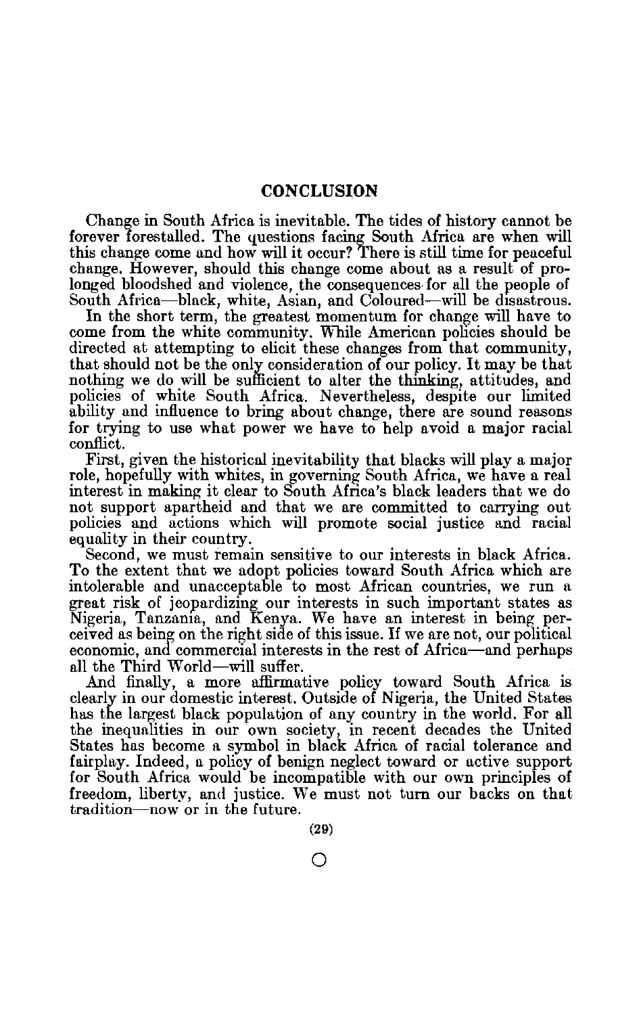## **CONCLUSION**

Change in South Africa is inevitable. The tides of history cannot be forever forestalled. The questions facing South Africa are when will this change come and how will it occur? There is still time for peaceful change. However, should this change come about as a result of pro longed bloodshed and violence, the consequences for all the people of South Africa-black, white, Asian, and Coloured-will be disastrous.

In the short term, the greatest momentum for change will have to come from the white community. While American policies should be directed at attempting to elicit these changes from that community, that should not be the only consideration of our policy. It may be that nothing we do will be sufficient to alter the thinking, attitudes, and policies of white South Africa. Nevertheless, despite our limited ability and influence to bring about change, there are sound reasons for trying to use what power we have to help avoid a major racial conflict.

First, given the historical inevitability that blacks will play a major role, hopefully with whites, in governing South Africa, we have a real interest in making it clear to South Africa's black leaders that we do not support apartheid and that we are committed to carrying out policies and actions which will promote social justice **and** racial equality in their country.

Second, we must remain sensitive to our interests in black Africa. To the extent that we adopt policies toward South Africa which are intolerable and unacceptable to most African countries, we run a great risk of jeopardizing our interests in such important states as Nigeria, Tanzania, and Kenya. We have an interest in being per ceived as being on the right side of this issue. If we are not, our political economic, and commercial interests in the rest of Africa-and perhaps all the Third World-will suffer.

And finally, a more affirmative policy toward South Africa is clearly in our domestic interest. Outside of Nigeria, the United States has the largest black population of any country in the world. For all the inequalities in our own society, in recent decades the United States has become a symbol in black Africa of racial tolerance and fairplay. Indeed, a policy of benign neglect toward or active support for South Africa would be incompatible with our own principles of freedom, liberty, and justice. We must not turn our backs on that tradition-now or in the future.

0